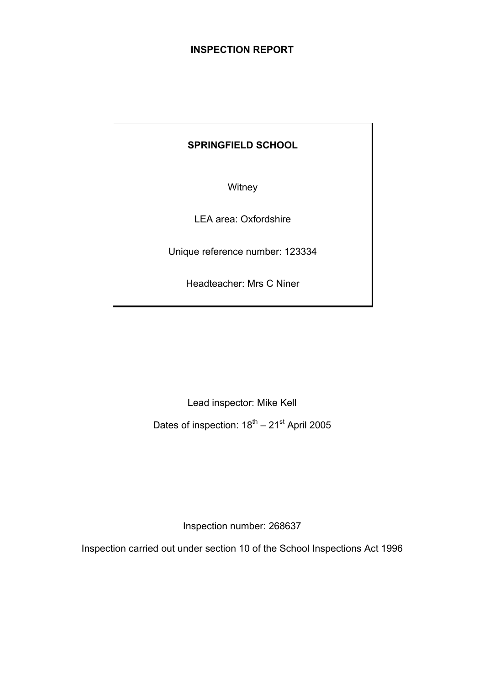## **INSPECTION REPORT**

## **SPRINGFIELD SCHOOL**

**Witney** 

LEA area: Oxfordshire

Unique reference number: 123334

Headteacher: Mrs C Niner

Lead inspector: Mike Kell

Dates of inspection:  $18^{th} - 21^{st}$  April 2005

Inspection number: 268637

Inspection carried out under section 10 of the School Inspections Act 1996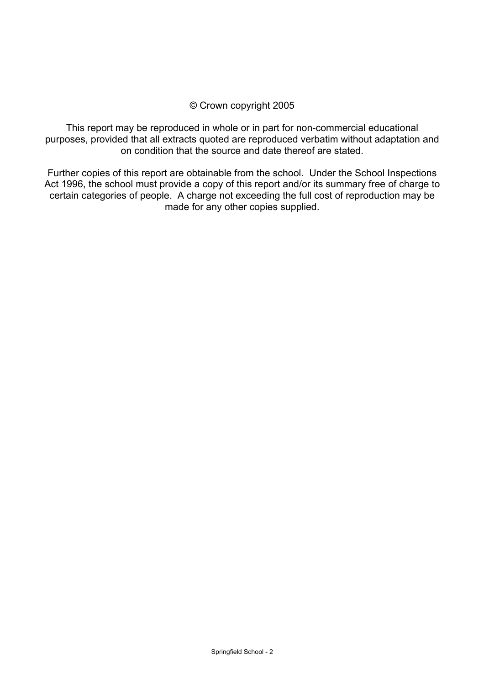## © Crown copyright 2005

This report may be reproduced in whole or in part for non-commercial educational purposes, provided that all extracts quoted are reproduced verbatim without adaptation and on condition that the source and date thereof are stated.

Further copies of this report are obtainable from the school. Under the School Inspections Act 1996, the school must provide a copy of this report and/or its summary free of charge to certain categories of people. A charge not exceeding the full cost of reproduction may be made for any other copies supplied.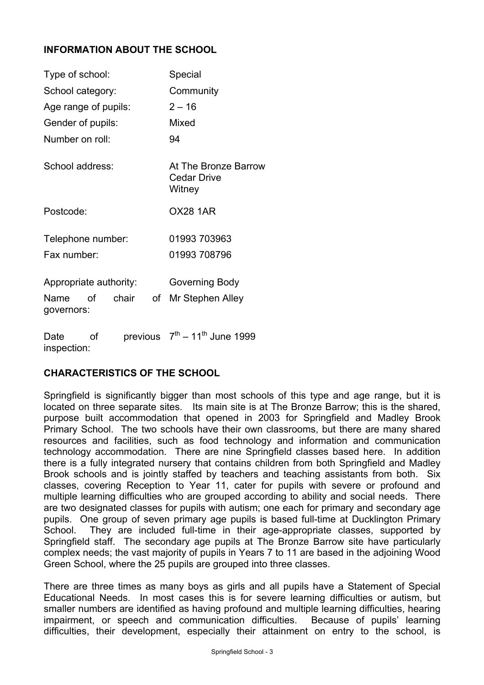## **INFORMATION ABOUT THE SCHOOL**

| Type of school:                                                            | Special                                              |  |  |
|----------------------------------------------------------------------------|------------------------------------------------------|--|--|
| School category:                                                           | Community                                            |  |  |
| Age range of pupils:                                                       | $2 - 16$                                             |  |  |
| Gender of pupils:                                                          | Mixed                                                |  |  |
| Number on roll:                                                            | 94                                                   |  |  |
| School address:                                                            | At The Bronze Barrow<br><b>Cedar Drive</b><br>Witney |  |  |
| Postcode:                                                                  | <b>OX28 1AR</b>                                      |  |  |
| Telephone number:                                                          | 01993 703963                                         |  |  |
| Fax number:                                                                | 01993 708796                                         |  |  |
| Appropriate authority:<br>of chair<br>of<br>Name                           | Governing Body<br>Mr Stephen Alley                   |  |  |
| governors:<br>$r_{\text{equation}}$ $7^{\text{th}}$<br>$D \circ f \circ f$ | $11^{th}$ lung $1000$                                |  |  |

Date or inspection:  $\text{prevol}$   $\text{prevol}$  – 11 June 1999

## **CHARACTERISTICS OF THE SCHOOL**

Springfield is significantly bigger than most schools of this type and age range, but it is located on three separate sites. Its main site is at The Bronze Barrow; this is the shared, purpose built accommodation that opened in 2003 for Springfield and Madley Brook Primary School. The two schools have their own classrooms, but there are many shared resources and facilities, such as food technology and information and communication technology accommodation. There are nine Springfield classes based here. In addition there is a fully integrated nursery that contains children from both Springfield and Madley Brook schools and is jointly staffed by teachers and teaching assistants from both. Six classes, covering Reception to Year 11, cater for pupils with severe or profound and multiple learning difficulties who are grouped according to ability and social needs. There are two designated classes for pupils with autism; one each for primary and secondary age pupils. One group of seven primary age pupils is based full-time at Ducklington Primary School. They are included full-time in their age-appropriate classes, supported by Springfield staff. The secondary age pupils at The Bronze Barrow site have particularly complex needs; the vast majority of pupils in Years 7 to 11 are based in the adjoining Wood Green School, where the 25 pupils are grouped into three classes.

There are three times as many boys as girls and all pupils have a Statement of Special Educational Needs. In most cases this is for severe learning difficulties or autism, but smaller numbers are identified as having profound and multiple learning difficulties, hearing impairment, or speech and communication difficulties. Because of pupils' learning difficulties, their development, especially their attainment on entry to the school, is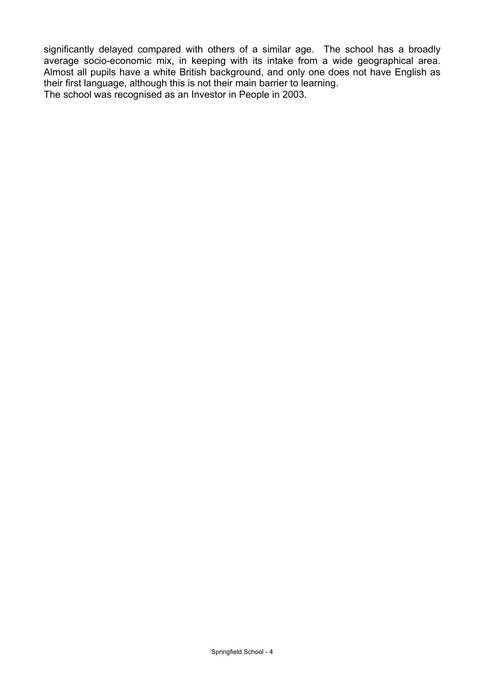significantly delayed compared with others of a similar age. The school has a broadly average socio-economic mix, in keeping with its intake from a wide geographical area. Almost all pupils have a white British background, and only one does not have English as their first language, although this is not their main barrier to learning. The school was recognised as an Investor in People in 2003.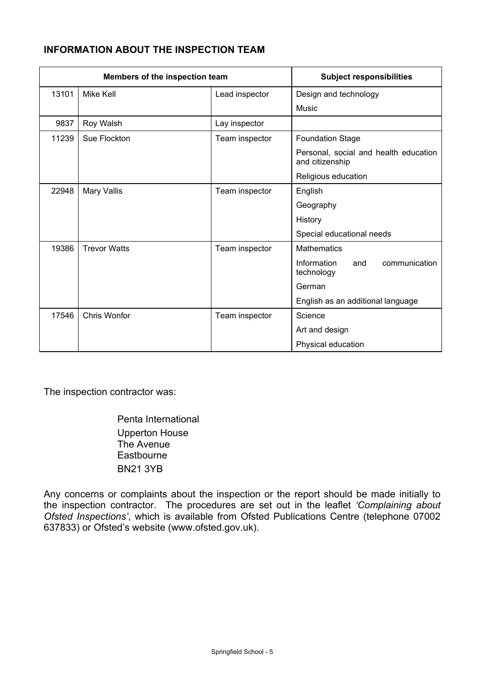## **INFORMATION ABOUT THE INSPECTION TEAM**

| Members of the inspection team |                     | <b>Subject responsibilities</b> |                                                          |  |  |
|--------------------------------|---------------------|---------------------------------|----------------------------------------------------------|--|--|
| 13101                          | Mike Kell           | Lead inspector                  | Design and technology                                    |  |  |
|                                |                     |                                 | Music                                                    |  |  |
| 9837                           | Roy Walsh           | Lay inspector                   |                                                          |  |  |
| 11239                          | Sue Flockton        | Team inspector                  | <b>Foundation Stage</b>                                  |  |  |
|                                |                     |                                 | Personal, social and health education<br>and citizenship |  |  |
|                                |                     |                                 | Religious education                                      |  |  |
| 22948                          | Mary Vallis         | Team inspector                  | English                                                  |  |  |
|                                |                     |                                 | Geography                                                |  |  |
|                                |                     |                                 | History                                                  |  |  |
|                                |                     |                                 | Special educational needs                                |  |  |
| 19386                          | <b>Trevor Watts</b> | Team inspector                  | <b>Mathematics</b>                                       |  |  |
|                                |                     |                                 | Information<br>communication<br>and<br>technology        |  |  |
|                                |                     |                                 | German                                                   |  |  |
|                                |                     |                                 | English as an additional language                        |  |  |
| 17546                          | <b>Chris Wonfor</b> | Team inspector                  | Science                                                  |  |  |
|                                |                     |                                 | Art and design                                           |  |  |
|                                |                     |                                 | Physical education                                       |  |  |

The inspection contractor was:

 Penta International Upperton House The Avenue **Eastbourne** BN21 3YB

Any concerns or complaints about the inspection or the report should be made initially to the inspection contractor. The procedures are set out in the leaflet *'Complaining about Ofsted Inspections'*, which is available from Ofsted Publications Centre (telephone 07002 637833) or Ofsted's website (www.ofsted.gov.uk).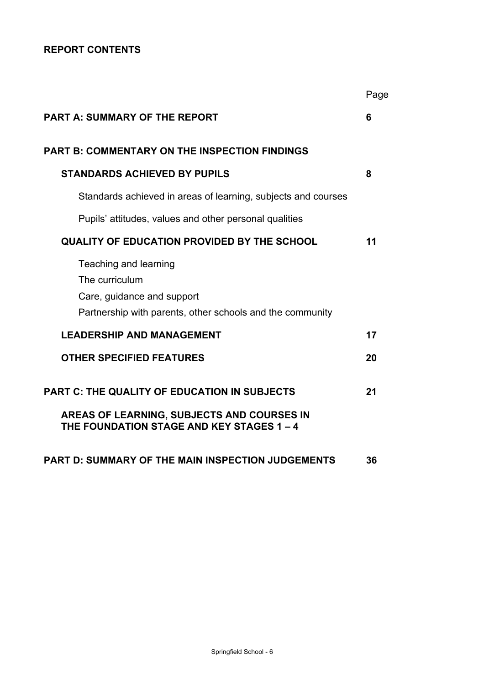## **REPORT CONTENTS**

|                                                                                                                                                | Page |
|------------------------------------------------------------------------------------------------------------------------------------------------|------|
| <b>PART A: SUMMARY OF THE REPORT</b>                                                                                                           | 6    |
| <b>PART B: COMMENTARY ON THE INSPECTION FINDINGS</b>                                                                                           |      |
| <b>STANDARDS ACHIEVED BY PUPILS</b>                                                                                                            | 8    |
| Standards achieved in areas of learning, subjects and courses                                                                                  |      |
| Pupils' attitudes, values and other personal qualities                                                                                         |      |
| <b>QUALITY OF EDUCATION PROVIDED BY THE SCHOOL</b>                                                                                             | 11   |
| Teaching and learning<br>The curriculum<br>Care, guidance and support<br>Partnership with parents, other schools and the community             |      |
| <b>LEADERSHIP AND MANAGEMENT</b>                                                                                                               | 17   |
| <b>OTHER SPECIFIED FEATURES</b>                                                                                                                | 20   |
| <b>PART C: THE QUALITY OF EDUCATION IN SUBJECTS</b><br>AREAS OF LEARNING, SUBJECTS AND COURSES IN<br>THE FOUNDATION STAGE AND KEY STAGES 1 - 4 | 21   |
| <b>PART D: SUMMARY OF THE MAIN INSPECTION JUDGEMENTS</b>                                                                                       | 36   |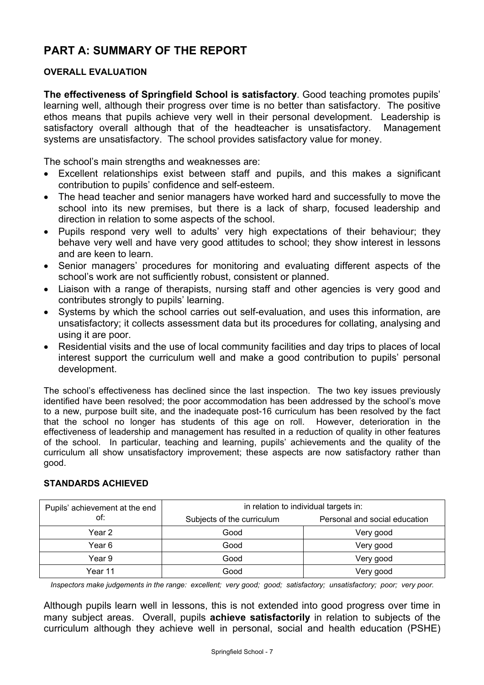# **PART A: SUMMARY OF THE REPORT**

#### **OVERALL EVALUATION**

**The effectiveness of Springfield School is satisfactory**. Good teaching promotes pupils' learning well, although their progress over time is no better than satisfactory. The positive ethos means that pupils achieve very well in their personal development. Leadership is satisfactory overall although that of the headteacher is unsatisfactory. Management systems are unsatisfactory. The school provides satisfactory value for money.

The school's main strengths and weaknesses are:

- Excellent relationships exist between staff and pupils, and this makes a significant contribution to pupils' confidence and self-esteem.
- The head teacher and senior managers have worked hard and successfully to move the school into its new premises, but there is a lack of sharp, focused leadership and direction in relation to some aspects of the school.
- Pupils respond very well to adults' very high expectations of their behaviour; they behave very well and have very good attitudes to school; they show interest in lessons and are keen to learn.
- Senior managers' procedures for monitoring and evaluating different aspects of the school's work are not sufficiently robust, consistent or planned.
- Liaison with a range of therapists, nursing staff and other agencies is very good and contributes strongly to pupils' learning.
- Systems by which the school carries out self-evaluation, and uses this information, are unsatisfactory; it collects assessment data but its procedures for collating, analysing and using it are poor.
- Residential visits and the use of local community facilities and day trips to places of local interest support the curriculum well and make a good contribution to pupils' personal development.

The school's effectiveness has declined since the last inspection. The two key issues previously identified have been resolved; the poor accommodation has been addressed by the school's move to a new, purpose built site, and the inadequate post-16 curriculum has been resolved by the fact that the school no longer has students of this age on roll. However, deterioration in the effectiveness of leadership and management has resulted in a reduction of quality in other features of the school. In particular, teaching and learning, pupils' achievements and the quality of the curriculum all show unsatisfactory improvement; these aspects are now satisfactory rather than good.

| Pupils' achievement at the end | in relation to individual targets in: |                               |  |  |
|--------------------------------|---------------------------------------|-------------------------------|--|--|
| of:                            | Subjects of the curriculum            | Personal and social education |  |  |
| Year 2                         | Good                                  | Very good                     |  |  |
| Year 6                         | Good                                  | Very good                     |  |  |
| Year 9                         | Good                                  | Very good                     |  |  |
| Year 11                        | Good                                  | Very good                     |  |  |

## **STANDARDS ACHIEVED**

*Inspectors make judgements in the range: excellent; very good; good; satisfactory; unsatisfactory; poor; very poor.* 

Although pupils learn well in lessons, this is not extended into good progress over time in many subject areas. Overall, pupils **achieve satisfactorily** in relation to subjects of the curriculum although they achieve well in personal, social and health education (PSHE)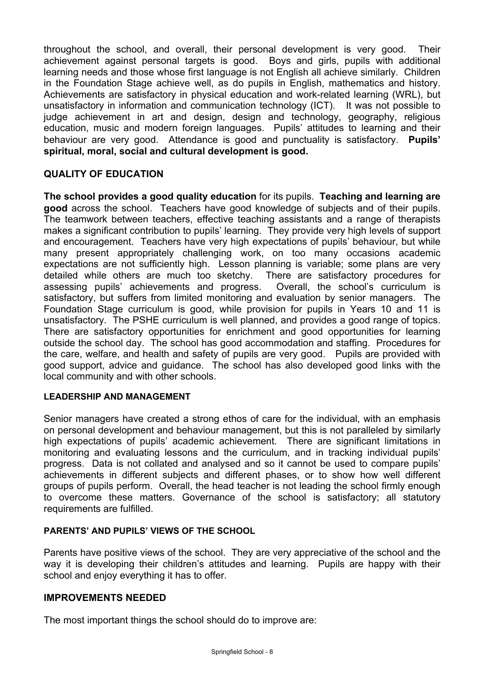throughout the school, and overall, their personal development is very good. Their achievement against personal targets is good. Boys and girls, pupils with additional learning needs and those whose first language is not English all achieve similarly. Children in the Foundation Stage achieve well, as do pupils in English, mathematics and history. Achievements are satisfactory in physical education and work-related learning (WRL), but unsatisfactory in information and communication technology (ICT). It was not possible to judge achievement in art and design, design and technology, geography, religious education, music and modern foreign languages. Pupils' attitudes to learning and their behaviour are very good.Attendance is good and punctuality is satisfactory. **Pupils' spiritual, moral, social and cultural development is good.**

## **QUALITY OF EDUCATION**

**The school provides a good quality education** for its pupils. **Teaching and learning are good** across the school. Teachers have good knowledge of subjects and of their pupils. The teamwork between teachers, effective teaching assistants and a range of therapists makes a significant contribution to pupils' learning. They provide very high levels of support and encouragement. Teachers have very high expectations of pupils' behaviour, but while many present appropriately challenging work, on too many occasions academic expectations are not sufficiently high. Lesson planning is variable; some plans are very detailed while others are much too sketchy. There are satisfactory procedures for assessing pupils' achievements and progress. Overall, the school's curriculum is satisfactory, but suffers from limited monitoring and evaluation by senior managers. The Foundation Stage curriculum is good, while provision for pupils in Years 10 and 11 is unsatisfactory. The PSHE curriculum is well planned, and provides a good range of topics. There are satisfactory opportunities for enrichment and good opportunities for learning outside the school day. The school has good accommodation and staffing. Procedures for the care, welfare, and health and safety of pupils are very good. Pupils are provided with good support, advice and guidance. The school has also developed good links with the local community and with other schools.

### **LEADERSHIP AND MANAGEMENT**

Senior managers have created a strong ethos of care for the individual, with an emphasis on personal development and behaviour management, but this is not paralleled by similarly high expectations of pupils' academic achievement. There are significant limitations in monitoring and evaluating lessons and the curriculum, and in tracking individual pupils' progress. Data is not collated and analysed and so it cannot be used to compare pupils' achievements in different subjects and different phases, or to show how well different groups of pupils perform. Overall, the head teacher is not leading the school firmly enough to overcome these matters. Governance of the school is satisfactory; all statutory requirements are fulfilled.

#### **PARENTS' AND PUPILS' VIEWS OF THE SCHOOL**

Parents have positive views of the school. They are very appreciative of the school and the way it is developing their children's attitudes and learning. Pupils are happy with their school and enjoy everything it has to offer.

#### **IMPROVEMENTS NEEDED**

The most important things the school should do to improve are: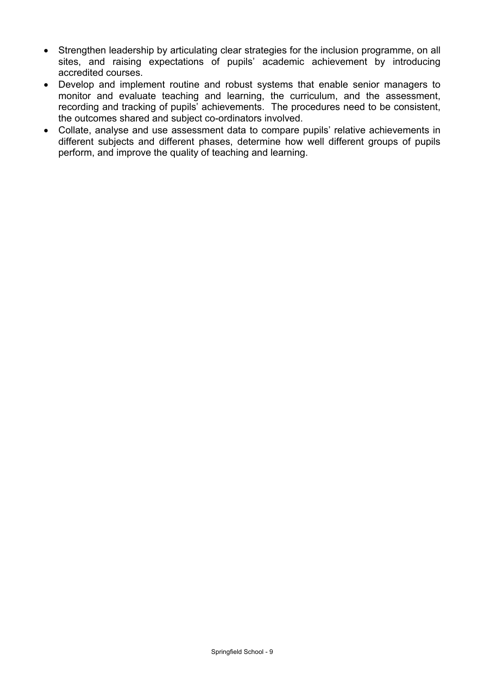- Strengthen leadership by articulating clear strategies for the inclusion programme, on all sites, and raising expectations of pupils' academic achievement by introducing accredited courses.
- Develop and implement routine and robust systems that enable senior managers to monitor and evaluate teaching and learning, the curriculum, and the assessment, recording and tracking of pupils' achievements. The procedures need to be consistent, the outcomes shared and subject co-ordinators involved.
- Collate, analyse and use assessment data to compare pupils' relative achievements in different subjects and different phases, determine how well different groups of pupils perform, and improve the quality of teaching and learning.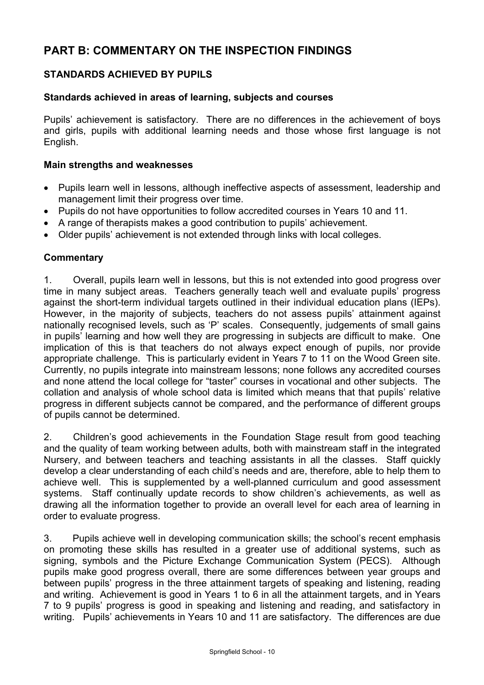# **PART B: COMMENTARY ON THE INSPECTION FINDINGS**

## **STANDARDS ACHIEVED BY PUPILS**

#### **Standards achieved in areas of learning, subjects and courses**

Pupils' achievement is satisfactory. There are no differences in the achievement of boys and girls, pupils with additional learning needs and those whose first language is not English.

#### **Main strengths and weaknesses**

- Pupils learn well in lessons, although ineffective aspects of assessment, leadership and management limit their progress over time.
- Pupils do not have opportunities to follow accredited courses in Years 10 and 11.
- A range of therapists makes a good contribution to pupils' achievement.
- Older pupils' achievement is not extended through links with local colleges.

#### **Commentary**

1. Overall, pupils learn well in lessons, but this is not extended into good progress over time in many subject areas. Teachers generally teach well and evaluate pupils' progress against the short-term individual targets outlined in their individual education plans (IEPs). However, in the majority of subjects, teachers do not assess pupils' attainment against nationally recognised levels, such as 'P' scales. Consequently, judgements of small gains in pupils' learning and how well they are progressing in subjects are difficult to make. One implication of this is that teachers do not always expect enough of pupils, nor provide appropriate challenge. This is particularly evident in Years 7 to 11 on the Wood Green site. Currently, no pupils integrate into mainstream lessons; none follows any accredited courses and none attend the local college for "taster" courses in vocational and other subjects. The collation and analysis of whole school data is limited which means that that pupils' relative progress in different subjects cannot be compared, and the performance of different groups of pupils cannot be determined.

2. Children's good achievements in the Foundation Stage result from good teaching and the quality of team working between adults, both with mainstream staff in the integrated Nursery, and between teachers and teaching assistants in all the classes. Staff quickly develop a clear understanding of each child's needs and are, therefore, able to help them to achieve well. This is supplemented by a well-planned curriculum and good assessment systems. Staff continually update records to show children's achievements, as well as drawing all the information together to provide an overall level for each area of learning in order to evaluate progress.

3. Pupils achieve well in developing communication skills; the school's recent emphasis on promoting these skills has resulted in a greater use of additional systems, such as signing, symbols and the Picture Exchange Communication System (PECS). Although pupils make good progress overall, there are some differences between year groups and between pupils' progress in the three attainment targets of speaking and listening, reading and writing. Achievement is good in Years 1 to 6 in all the attainment targets, and in Years 7 to 9 pupils' progress is good in speaking and listening and reading, and satisfactory in writing. Pupils' achievements in Years 10 and 11 are satisfactory. The differences are due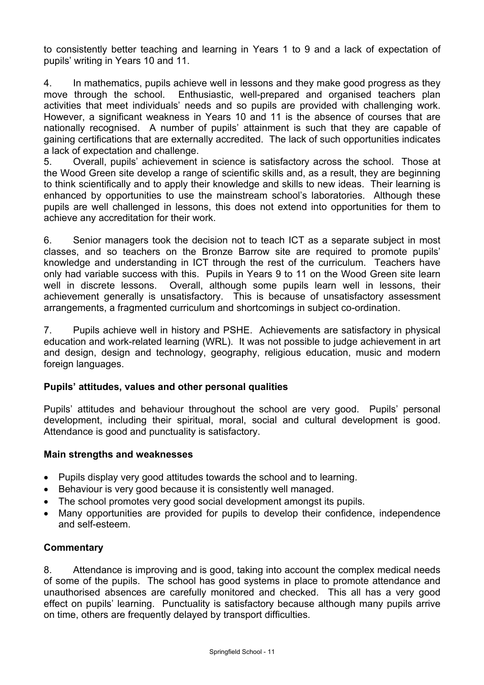to consistently better teaching and learning in Years 1 to 9 and a lack of expectation of pupils' writing in Years 10 and 11.

4. In mathematics, pupils achieve well in lessons and they make good progress as they move through the school. Enthusiastic, well-prepared and organised teachers plan activities that meet individuals' needs and so pupils are provided with challenging work. However, a significant weakness in Years 10 and 11 is the absence of courses that are nationally recognised. A number of pupils' attainment is such that they are capable of gaining certifications that are externally accredited. The lack of such opportunities indicates a lack of expectation and challenge.

5. Overall, pupils' achievement in science is satisfactory across the school. Those at the Wood Green site develop a range of scientific skills and, as a result, they are beginning to think scientifically and to apply their knowledge and skills to new ideas. Their learning is enhanced by opportunities to use the mainstream school's laboratories. Although these pupils are well challenged in lessons, this does not extend into opportunities for them to achieve any accreditation for their work.

6. Senior managers took the decision not to teach ICT as a separate subject in most classes, and so teachers on the Bronze Barrow site are required to promote pupils' knowledge and understanding in ICT through the rest of the curriculum. Teachers have only had variable success with this. Pupils in Years 9 to 11 on the Wood Green site learn well in discrete lessons. Overall, although some pupils learn well in lessons, their achievement generally is unsatisfactory. This is because of unsatisfactory assessment arrangements, a fragmented curriculum and shortcomings in subject co-ordination.

7. Pupils achieve well in history and PSHE. Achievements are satisfactory in physical education and work-related learning (WRL). It was not possible to judge achievement in art and design, design and technology, geography, religious education, music and modern foreign languages.

#### **Pupils' attitudes, values and other personal qualities**

Pupils' attitudes and behaviour throughout the school are very good. Pupils' personal development, including their spiritual, moral, social and cultural development is good. Attendance is good and punctuality is satisfactory.

#### **Main strengths and weaknesses**

- Pupils display very good attitudes towards the school and to learning.
- Behaviour is very good because it is consistently well managed.
- The school promotes very good social development amongst its pupils.
- Many opportunities are provided for pupils to develop their confidence, independence and self-esteem.

#### **Commentary**

8. Attendance is improving and is good, taking into account the complex medical needs of some of the pupils. The school has good systems in place to promote attendance and unauthorised absences are carefully monitored and checked. This all has a very good effect on pupils' learning. Punctuality is satisfactory because although many pupils arrive on time, others are frequently delayed by transport difficulties.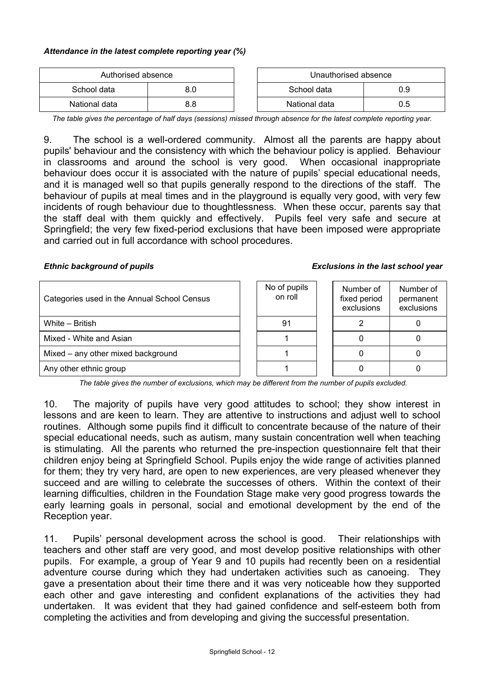#### *Attendance in the latest complete reporting year (%)*

| Authorised absence |     | Unauthorised absence |     |
|--------------------|-----|----------------------|-----|
| School data        |     | School data          | 0.9 |
| National data      | 8.8 | National data        | U.5 |

*The table gives the percentage of half days (sessions) missed through absence for the latest complete reporting year.*

9. The school is a well-ordered community. Almost all the parents are happy about pupils' behaviour and the consistency with which the behaviour policy is applied. Behaviour in classrooms and around the school is very good. When occasional inappropriate behaviour does occur it is associated with the nature of pupils' special educational needs, and it is managed well so that pupils generally respond to the directions of the staff. The behaviour of pupils at meal times and in the playground is equally very good, with very few incidents of rough behaviour due to thoughtlessness. When these occur, parents say that the staff deal with them quickly and effectively. Pupils feel very safe and secure at Springfield; the very few fixed-period exclusions that have been imposed were appropriate and carried out in full accordance with school procedures.

#### *Ethnic background of pupils Exclusions in the last school year*

| Categories used in the Annual School Census | No of pupils<br>on roll | Number of<br>fixed period<br>exclusions | Number of<br>permanent<br>exclusions |
|---------------------------------------------|-------------------------|-----------------------------------------|--------------------------------------|
| White - British                             | 91                      |                                         |                                      |
| Mixed - White and Asian                     |                         |                                         |                                      |
| Mixed – any other mixed background          |                         |                                         |                                      |
| Any other ethnic group                      |                         |                                         |                                      |

*The table gives the number of exclusions, which may be different from the number of pupils excluded.*

10. The majority of pupils have very good attitudes to school; they show interest in lessons and are keen to learn. They are attentive to instructions and adjust well to school routines. Although some pupils find it difficult to concentrate because of the nature of their special educational needs, such as autism, many sustain concentration well when teaching is stimulating. All the parents who returned the pre-inspection questionnaire felt that their children enjoy being at Springfield School. Pupils enjoy the wide range of activities planned for them; they try very hard, are open to new experiences, are very pleased whenever they succeed and are willing to celebrate the successes of others. Within the context of their learning difficulties, children in the Foundation Stage make very good progress towards the early learning goals in personal, social and emotional development by the end of the Reception year.

11. Pupils' personal development across the school is good. Their relationships with teachers and other staff are very good, and most develop positive relationships with other pupils. For example, a group of Year 9 and 10 pupils had recently been on a residential adventure course during which they had undertaken activities such as canoeing. They gave a presentation about their time there and it was very noticeable how they supported each other and gave interesting and confident explanations of the activities they had undertaken. It was evident that they had gained confidence and self-esteem both from completing the activities and from developing and giving the successful presentation.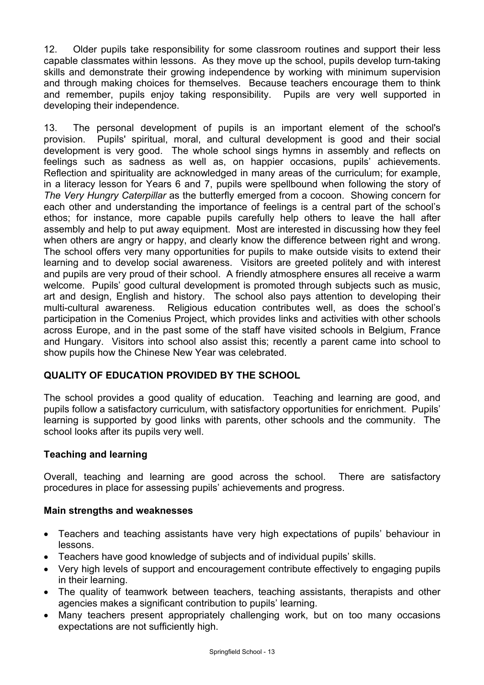12. Older pupils take responsibility for some classroom routines and support their less capable classmates within lessons. As they move up the school, pupils develop turn-taking skills and demonstrate their growing independence by working with minimum supervision and through making choices for themselves. Because teachers encourage them to think and remember, pupils enjoy taking responsibility. Pupils are very well supported in developing their independence.

13. The personal development of pupils is an important element of the school's provision. Pupils' spiritual, moral, and cultural development is good and their social development is very good. The whole school sings hymns in assembly and reflects on feelings such as sadness as well as, on happier occasions, pupils' achievements. Reflection and spirituality are acknowledged in many areas of the curriculum; for example, in a literacy lesson for Years 6 and 7, pupils were spellbound when following the story of *The Very Hungry Caterpillar* as the butterfly emerged from a cocoon. Showing concern for each other and understanding the importance of feelings is a central part of the school's ethos; for instance, more capable pupils carefully help others to leave the hall after assembly and help to put away equipment. Most are interested in discussing how they feel when others are angry or happy, and clearly know the difference between right and wrong. The school offers very many opportunities for pupils to make outside visits to extend their learning and to develop social awareness. Visitors are greeted politely and with interest and pupils are very proud of their school. A friendly atmosphere ensures all receive a warm welcome. Pupils' good cultural development is promoted through subjects such as music, art and design, English and history. The school also pays attention to developing their multi-cultural awareness. Religious education contributes well, as does the school's participation in the Comenius Project, which provides links and activities with other schools across Europe, and in the past some of the staff have visited schools in Belgium, France and Hungary. Visitors into school also assist this; recently a parent came into school to show pupils how the Chinese New Year was celebrated.

## **QUALITY OF EDUCATION PROVIDED BY THE SCHOOL**

The school provides a good quality of education. Teaching and learning are good, and pupils follow a satisfactory curriculum, with satisfactory opportunities for enrichment. Pupils' learning is supported by good links with parents, other schools and the community. The school looks after its pupils very well.

## **Teaching and learning**

Overall, teaching and learning are good across the school. There are satisfactory procedures in place for assessing pupils' achievements and progress.

#### **Main strengths and weaknesses**

- Teachers and teaching assistants have very high expectations of pupils' behaviour in lessons.
- Teachers have good knowledge of subjects and of individual pupils' skills.
- Very high levels of support and encouragement contribute effectively to engaging pupils in their learning.
- The quality of teamwork between teachers, teaching assistants, therapists and other agencies makes a significant contribution to pupils' learning.
- Many teachers present appropriately challenging work, but on too many occasions expectations are not sufficiently high.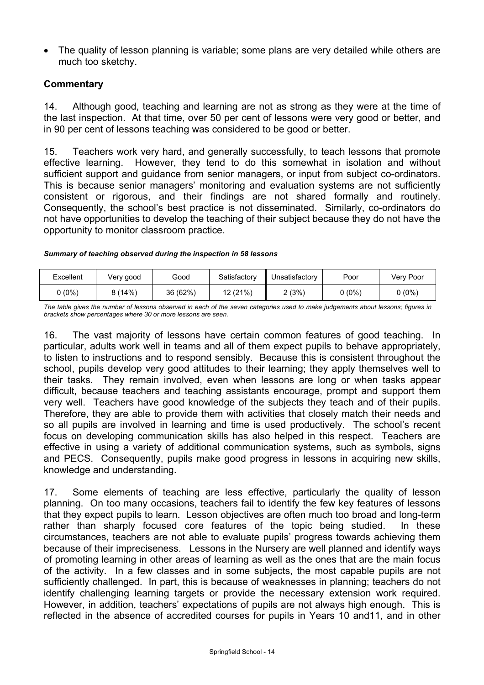• The quality of lesson planning is variable; some plans are very detailed while others are much too sketchy.

## **Commentary**

14. Although good, teaching and learning are not as strong as they were at the time of the last inspection. At that time, over 50 per cent of lessons were very good or better, and in 90 per cent of lessons teaching was considered to be good or better.

15. Teachers work very hard, and generally successfully, to teach lessons that promote effective learning. However, they tend to do this somewhat in isolation and without sufficient support and guidance from senior managers, or input from subject co-ordinators. This is because senior managers' monitoring and evaluation systems are not sufficiently consistent or rigorous, and their findings are not shared formally and routinely. Consequently, the school's best practice is not disseminated. Similarly, co-ordinators do not have opportunities to develop the teaching of their subject because they do not have the opportunity to monitor classroom practice.

#### *Summary of teaching observed during the inspection in 58 lessons*

| Excellent           | Very good | Good     | Satisfactory | Unsatisfactory | Poor            | Verv Poor |
|---------------------|-----------|----------|--------------|----------------|-----------------|-----------|
| ບ (0%) <sub>ບ</sub> | 8(14%)    | 36 (62%) | 12 (21%)     | 2 (3%)         | <u> ა (0%) </u> | ს (0%)    |

*The table gives the number of lessons observed in each of the seven categories used to make judgements about lessons; figures in brackets show percentages where 30 or more lessons are seen.* 

16. The vast majority of lessons have certain common features of good teaching. In particular, adults work well in teams and all of them expect pupils to behave appropriately, to listen to instructions and to respond sensibly. Because this is consistent throughout the school, pupils develop very good attitudes to their learning; they apply themselves well to their tasks. They remain involved, even when lessons are long or when tasks appear difficult, because teachers and teaching assistants encourage, prompt and support them very well. Teachers have good knowledge of the subjects they teach and of their pupils. Therefore, they are able to provide them with activities that closely match their needs and so all pupils are involved in learning and time is used productively. The school's recent focus on developing communication skills has also helped in this respect. Teachers are effective in using a variety of additional communication systems, such as symbols, signs and PECS. Consequently, pupils make good progress in lessons in acquiring new skills, knowledge and understanding.

17. Some elements of teaching are less effective, particularly the quality of lesson planning. On too many occasions, teachers fail to identify the few key features of lessons that they expect pupils to learn. Lesson objectives are often much too broad and long-term rather than sharply focused core features of the topic being studied. In these circumstances, teachers are not able to evaluate pupils' progress towards achieving them because of their impreciseness. Lessons in the Nursery are well planned and identify ways of promoting learning in other areas of learning as well as the ones that are the main focus of the activity. In a few classes and in some subjects, the most capable pupils are not sufficiently challenged. In part, this is because of weaknesses in planning; teachers do not identify challenging learning targets or provide the necessary extension work required. However, in addition, teachers' expectations of pupils are not always high enough. This is reflected in the absence of accredited courses for pupils in Years 10 and11, and in other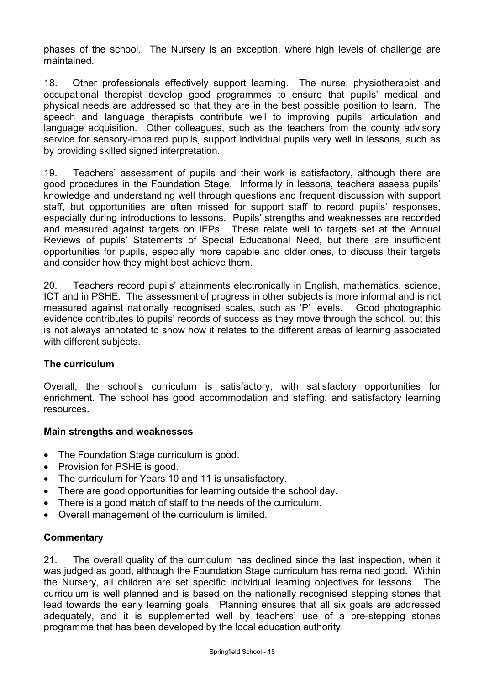phases of the school. The Nursery is an exception, where high levels of challenge are maintained.

18. Other professionals effectively support learning. The nurse, physiotherapist and occupational therapist develop good programmes to ensure that pupils' medical and physical needs are addressed so that they are in the best possible position to learn. The speech and language therapists contribute well to improving pupils' articulation and language acquisition. Other colleagues, such as the teachers from the county advisory service for sensory-impaired pupils, support individual pupils very well in lessons, such as by providing skilled signed interpretation.

19. Teachers' assessment of pupils and their work is satisfactory, although there are good procedures in the Foundation Stage. Informally in lessons, teachers assess pupils' knowledge and understanding well through questions and frequent discussion with support staff, but opportunities are often missed for support staff to record pupils' responses, especially during introductions to lessons. Pupils' strengths and weaknesses are recorded and measured against targets on IEPs. These relate well to targets set at the Annual Reviews of pupils' Statements of Special Educational Need, but there are insufficient opportunities for pupils, especially more capable and older ones, to discuss their targets and consider how they might best achieve them.

20. Teachers record pupils' attainments electronically in English, mathematics, science, ICT and in PSHE. The assessment of progress in other subjects is more informal and is not measured against nationally recognised scales, such as 'P' levels. Good photographic evidence contributes to pupils' records of success as they move through the school, but this is not always annotated to show how it relates to the different areas of learning associated with different subjects.

#### **The curriculum**

Overall, the school's curriculum is satisfactory, with satisfactory opportunities for enrichment. The school has good accommodation and staffing, and satisfactory learning resources.

## **Main strengths and weaknesses**

- The Foundation Stage curriculum is good.
- Provision for PSHE is good.
- The curriculum for Years 10 and 11 is unsatisfactory.
- There are good opportunities for learning outside the school day.
- There is a good match of staff to the needs of the curriculum.
- Overall management of the curriculum is limited.

## **Commentary**

21. The overall quality of the curriculum has declined since the last inspection, when it was judged as good, although the Foundation Stage curriculum has remained good. Within the Nursery, all children are set specific individual learning objectives for lessons. The curriculum is well planned and is based on the nationally recognised stepping stones that lead towards the early learning goals. Planning ensures that all six goals are addressed adequately, and it is supplemented well by teachers' use of a pre-stepping stones programme that has been developed by the local education authority.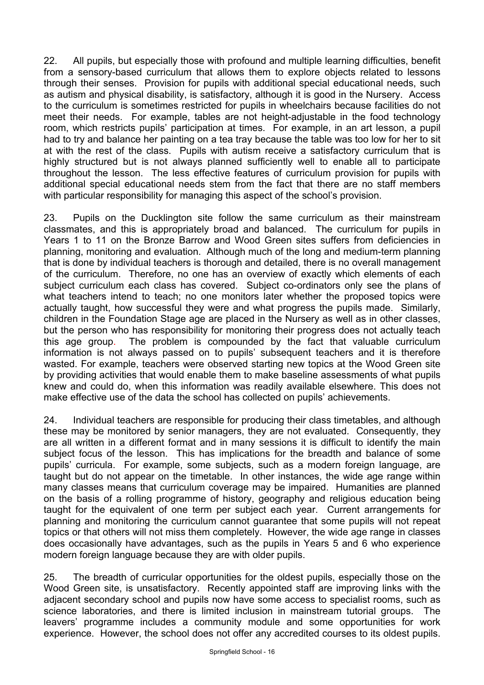22. All pupils, but especially those with profound and multiple learning difficulties, benefit from a sensory-based curriculum that allows them to explore objects related to lessons through their senses. Provision for pupils with additional special educational needs, such as autism and physical disability, is satisfactory, although it is good in the Nursery. Access to the curriculum is sometimes restricted for pupils in wheelchairs because facilities do not meet their needs. For example, tables are not height-adjustable in the food technology room, which restricts pupils' participation at times. For example, in an art lesson, a pupil had to try and balance her painting on a tea tray because the table was too low for her to sit at with the rest of the class. Pupils with autism receive a satisfactory curriculum that is highly structured but is not always planned sufficiently well to enable all to participate throughout the lesson. The less effective features of curriculum provision for pupils with additional special educational needs stem from the fact that there are no staff members with particular responsibility for managing this aspect of the school's provision.

23. Pupils on the Ducklington site follow the same curriculum as their mainstream classmates, and this is appropriately broad and balanced. The curriculum for pupils in Years 1 to 11 on the Bronze Barrow and Wood Green sites suffers from deficiencies in planning, monitoring and evaluation. Although much of the long and medium-term planning that is done by individual teachers is thorough and detailed, there is no overall management of the curriculum. Therefore, no one has an overview of exactly which elements of each subject curriculum each class has covered. Subject co-ordinators only see the plans of what teachers intend to teach; no one monitors later whether the proposed topics were actually taught, how successful they were and what progress the pupils made. Similarly, children in the Foundation Stage age are placed in the Nursery as well as in other classes, but the person who has responsibility for monitoring their progress does not actually teach this age group. The problem is compounded by the fact that valuable curriculum information is not always passed on to pupils' subsequent teachers and it is therefore wasted. For example, teachers were observed starting new topics at the Wood Green site by providing activities that would enable them to make baseline assessments of what pupils knew and could do, when this information was readily available elsewhere. This does not make effective use of the data the school has collected on pupils' achievements.

24. Individual teachers are responsible for producing their class timetables, and although these may be monitored by senior managers, they are not evaluated. Consequently, they are all written in a different format and in many sessions it is difficult to identify the main subject focus of the lesson. This has implications for the breadth and balance of some pupils' curricula. For example, some subjects, such as a modern foreign language, are taught but do not appear on the timetable. In other instances, the wide age range within many classes means that curriculum coverage may be impaired. Humanities are planned on the basis of a rolling programme of history, geography and religious education being taught for the equivalent of one term per subject each year. Current arrangements for planning and monitoring the curriculum cannot guarantee that some pupils will not repeat topics or that others will not miss them completely. However, the wide age range in classes does occasionally have advantages, such as the pupils in Years 5 and 6 who experience modern foreign language because they are with older pupils.

25. The breadth of curricular opportunities for the oldest pupils, especially those on the Wood Green site, is unsatisfactory. Recently appointed staff are improving links with the adjacent secondary school and pupils now have some access to specialist rooms, such as science laboratories, and there is limited inclusion in mainstream tutorial groups. The leavers' programme includes a community module and some opportunities for work experience. However, the school does not offer any accredited courses to its oldest pupils.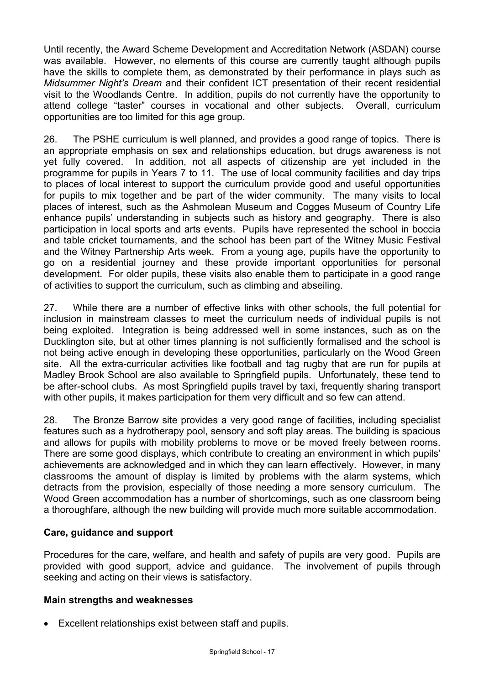Until recently, the Award Scheme Development and Accreditation Network (ASDAN) course was available. However, no elements of this course are currently taught although pupils have the skills to complete them, as demonstrated by their performance in plays such as *Midsummer Night's Dream* and their confident ICT presentation of their recent residential visit to the Woodlands Centre. In addition, pupils do not currently have the opportunity to attend college "taster" courses in vocational and other subjects. Overall, curriculum opportunities are too limited for this age group.

26. The PSHE curriculum is well planned, and provides a good range of topics. There is an appropriate emphasis on sex and relationships education, but drugs awareness is not yet fully covered. In addition, not all aspects of citizenship are yet included in the programme for pupils in Years 7 to 11. The use of local community facilities and day trips to places of local interest to support the curriculum provide good and useful opportunities for pupils to mix together and be part of the wider community. The many visits to local places of interest, such as the Ashmolean Museum and Cogges Museum of Country Life enhance pupils' understanding in subjects such as history and geography. There is also participation in local sports and arts events. Pupils have represented the school in boccia and table cricket tournaments, and the school has been part of the Witney Music Festival and the Witney Partnership Arts week. From a young age, pupils have the opportunity to go on a residential journey and these provide important opportunities for personal development. For older pupils, these visits also enable them to participate in a good range of activities to support the curriculum, such as climbing and abseiling.

27. While there are a number of effective links with other schools, the full potential for inclusion in mainstream classes to meet the curriculum needs of individual pupils is not being exploited. Integration is being addressed well in some instances, such as on the Ducklington site, but at other times planning is not sufficiently formalised and the school is not being active enough in developing these opportunities, particularly on the Wood Green site. All the extra-curricular activities like football and tag rugby that are run for pupils at Madley Brook School are also available to Springfield pupils. Unfortunately, these tend to be after-school clubs. As most Springfield pupils travel by taxi, frequently sharing transport with other pupils, it makes participation for them very difficult and so few can attend.

28. The Bronze Barrow site provides a very good range of facilities, including specialist features such as a hydrotherapy pool, sensory and soft play areas. The building is spacious and allows for pupils with mobility problems to move or be moved freely between rooms. There are some good displays, which contribute to creating an environment in which pupils' achievements are acknowledged and in which they can learn effectively. However, in many classrooms the amount of display is limited by problems with the alarm systems, which detracts from the provision, especially of those needing a more sensory curriculum. The Wood Green accommodation has a number of shortcomings, such as one classroom being a thoroughfare, although the new building will provide much more suitable accommodation.

#### **Care, guidance and support**

Procedures for the care, welfare, and health and safety of pupils are very good. Pupils are provided with good support, advice and guidance. The involvement of pupils through seeking and acting on their views is satisfactory.

#### **Main strengths and weaknesses**

• Excellent relationships exist between staff and pupils.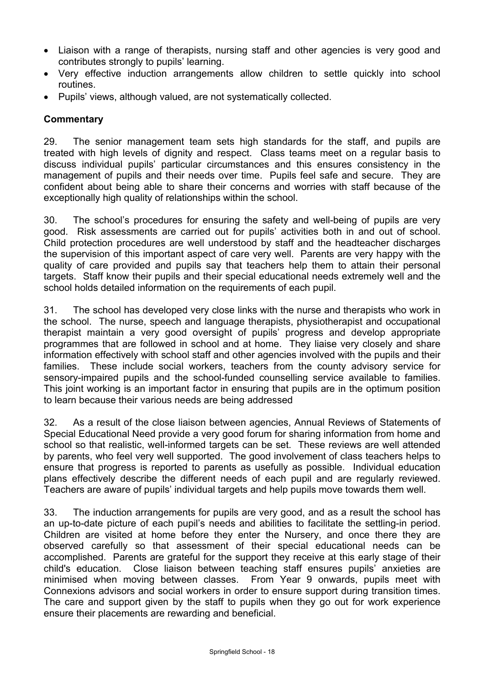- Liaison with a range of therapists, nursing staff and other agencies is very good and contributes strongly to pupils' learning.
- Very effective induction arrangements allow children to settle quickly into school routines.
- Pupils' views, although valued, are not systematically collected.

## **Commentary**

29. The senior management team sets high standards for the staff, and pupils are treated with high levels of dignity and respect. Class teams meet on a regular basis to discuss individual pupils' particular circumstances and this ensures consistency in the management of pupils and their needs over time. Pupils feel safe and secure. They are confident about being able to share their concerns and worries with staff because of the exceptionally high quality of relationships within the school.

30. The school's procedures for ensuring the safety and well-being of pupils are very good. Risk assessments are carried out for pupils' activities both in and out of school. Child protection procedures are well understood by staff and the headteacher discharges the supervision of this important aspect of care very well. Parents are very happy with the quality of care provided and pupils say that teachers help them to attain their personal targets. Staff know their pupils and their special educational needs extremely well and the school holds detailed information on the requirements of each pupil.

31. The school has developed very close links with the nurse and therapists who work in the school. The nurse, speech and language therapists, physiotherapist and occupational therapist maintain a very good oversight of pupils' progress and develop appropriate programmes that are followed in school and at home. They liaise very closely and share information effectively with school staff and other agencies involved with the pupils and their families. These include social workers, teachers from the county advisory service for sensory-impaired pupils and the school-funded counselling service available to families. This joint working is an important factor in ensuring that pupils are in the optimum position to learn because their various needs are being addressed

32. As a result of the close liaison between agencies, Annual Reviews of Statements of Special Educational Need provide a very good forum for sharing information from home and school so that realistic, well-informed targets can be set. These reviews are well attended by parents, who feel very well supported. The good involvement of class teachers helps to ensure that progress is reported to parents as usefully as possible. Individual education plans effectively describe the different needs of each pupil and are regularly reviewed. Teachers are aware of pupils' individual targets and help pupils move towards them well.

33. The induction arrangements for pupils are very good, and as a result the school has an up-to-date picture of each pupil's needs and abilities to facilitate the settling-in period. Children are visited at home before they enter the Nursery, and once there they are observed carefully so that assessment of their special educational needs can be accomplished. Parents are grateful for the support they receive at this early stage of their child's education. Close liaison between teaching staff ensures pupils' anxieties are minimised when moving between classes. From Year 9 onwards, pupils meet with Connexions advisors and social workers in order to ensure support during transition times. The care and support given by the staff to pupils when they go out for work experience ensure their placements are rewarding and beneficial.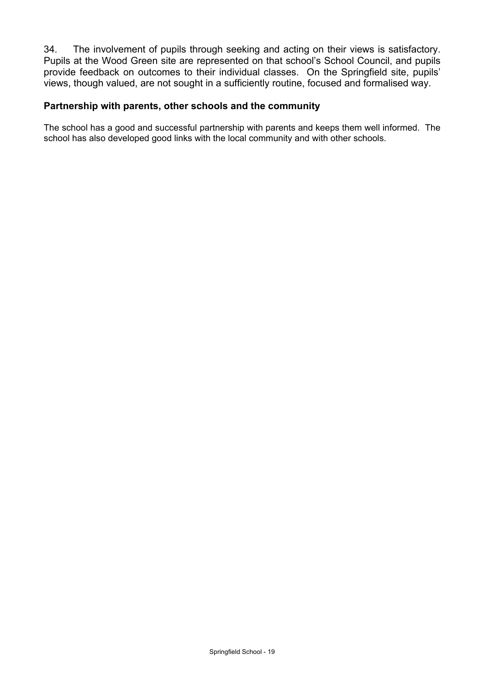34. The involvement of pupils through seeking and acting on their views is satisfactory. Pupils at the Wood Green site are represented on that school's School Council, and pupils provide feedback on outcomes to their individual classes. On the Springfield site, pupils' views, though valued, are not sought in a sufficiently routine, focused and formalised way.

#### **Partnership with parents, other schools and the community**

The school has a good and successful partnership with parents and keeps them well informed. The school has also developed good links with the local community and with other schools.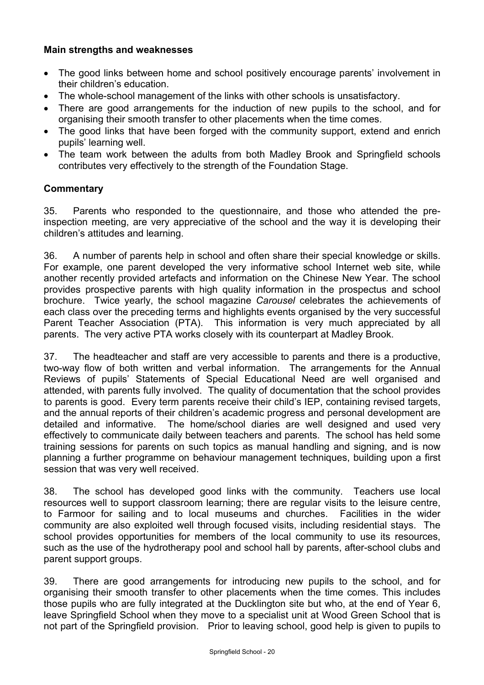## **Main strengths and weaknesses**

- The good links between home and school positively encourage parents' involvement in their children's education.
- The whole-school management of the links with other schools is unsatisfactory.
- There are good arrangements for the induction of new pupils to the school, and for organising their smooth transfer to other placements when the time comes.
- The good links that have been forged with the community support, extend and enrich pupils' learning well.
- The team work between the adults from both Madley Brook and Springfield schools contributes very effectively to the strength of the Foundation Stage.

## **Commentary**

35. Parents who responded to the questionnaire, and those who attended the preinspection meeting, are very appreciative of the school and the way it is developing their children's attitudes and learning.

36. A number of parents help in school and often share their special knowledge or skills. For example, one parent developed the very informative school Internet web site, while another recently provided artefacts and information on the Chinese New Year. The school provides prospective parents with high quality information in the prospectus and school brochure. Twice yearly, the school magazine *Carousel* celebrates the achievements of each class over the preceding terms and highlights events organised by the very successful Parent Teacher Association (PTA). This information is very much appreciated by all parents. The very active PTA works closely with its counterpart at Madley Brook.

37. The headteacher and staff are very accessible to parents and there is a productive, two-way flow of both written and verbal information. The arrangements for the Annual Reviews of pupils' Statements of Special Educational Need are well organised and attended, with parents fully involved. The quality of documentation that the school provides to parents is good. Every term parents receive their child's IEP, containing revised targets, and the annual reports of their children's academic progress and personal development are detailed and informative. The home/school diaries are well designed and used very effectively to communicate daily between teachers and parents. The school has held some training sessions for parents on such topics as manual handling and signing, and is now planning a further programme on behaviour management techniques, building upon a first session that was very well received.

38. The school has developed good links with the community. Teachers use local resources well to support classroom learning; there are regular visits to the leisure centre, to Farmoor for sailing and to local museums and churches. Facilities in the wider community are also exploited well through focused visits, including residential stays. The school provides opportunities for members of the local community to use its resources, such as the use of the hydrotherapy pool and school hall by parents, after-school clubs and parent support groups.

39. There are good arrangements for introducing new pupils to the school, and for organising their smooth transfer to other placements when the time comes. This includes those pupils who are fully integrated at the Ducklington site but who, at the end of Year 6, leave Springfield School when they move to a specialist unit at Wood Green School that is not part of the Springfield provision. Prior to leaving school, good help is given to pupils to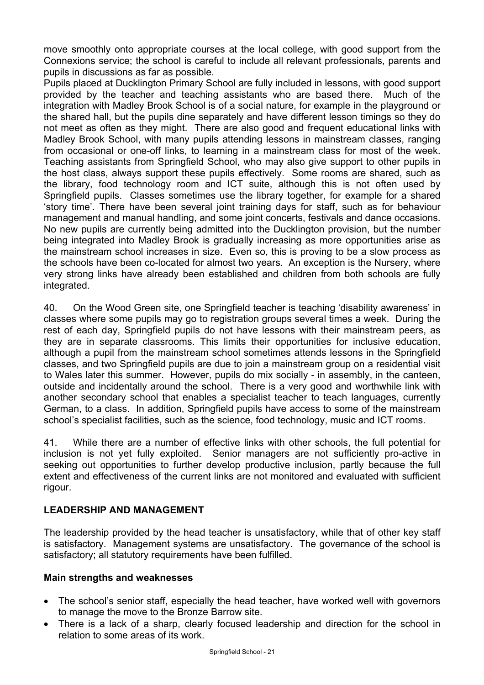move smoothly onto appropriate courses at the local college, with good support from the Connexions service; the school is careful to include all relevant professionals, parents and pupils in discussions as far as possible.

Pupils placed at Ducklington Primary School are fully included in lessons, with good support provided by the teacher and teaching assistants who are based there. Much of the integration with Madley Brook School is of a social nature, for example in the playground or the shared hall, but the pupils dine separately and have different lesson timings so they do not meet as often as they might. There are also good and frequent educational links with Madley Brook School, with many pupils attending lessons in mainstream classes, ranging from occasional or one-off links, to learning in a mainstream class for most of the week. Teaching assistants from Springfield School, who may also give support to other pupils in the host class, always support these pupils effectively. Some rooms are shared, such as the library, food technology room and ICT suite, although this is not often used by Springfield pupils. Classes sometimes use the library together, for example for a shared 'story time'. There have been several joint training days for staff, such as for behaviour management and manual handling, and some joint concerts, festivals and dance occasions. No new pupils are currently being admitted into the Ducklington provision, but the number being integrated into Madley Brook is gradually increasing as more opportunities arise as the mainstream school increases in size. Even so, this is proving to be a slow process as the schools have been co-located for almost two years. An exception is the Nursery, where very strong links have already been established and children from both schools are fully integrated.

40. On the Wood Green site, one Springfield teacher is teaching 'disability awareness' in classes where some pupils may go to registration groups several times a week. During the rest of each day, Springfield pupils do not have lessons with their mainstream peers, as they are in separate classrooms. This limits their opportunities for inclusive education, although a pupil from the mainstream school sometimes attends lessons in the Springfield classes, and two Springfield pupils are due to join a mainstream group on a residential visit to Wales later this summer. However, pupils do mix socially - in assembly, in the canteen, outside and incidentally around the school. There is a very good and worthwhile link with another secondary school that enables a specialist teacher to teach languages, currently German, to a class. In addition, Springfield pupils have access to some of the mainstream school's specialist facilities, such as the science, food technology, music and ICT rooms.

41. While there are a number of effective links with other schools, the full potential for inclusion is not yet fully exploited. Senior managers are not sufficiently pro-active in seeking out opportunities to further develop productive inclusion, partly because the full extent and effectiveness of the current links are not monitored and evaluated with sufficient rigour.

## **LEADERSHIP AND MANAGEMENT**

The leadership provided by the head teacher is unsatisfactory, while that of other key staff is satisfactory. Management systems are unsatisfactory. The governance of the school is satisfactory; all statutory requirements have been fulfilled.

#### **Main strengths and weaknesses**

- The school's senior staff, especially the head teacher, have worked well with governors to manage the move to the Bronze Barrow site.
- There is a lack of a sharp, clearly focused leadership and direction for the school in relation to some areas of its work.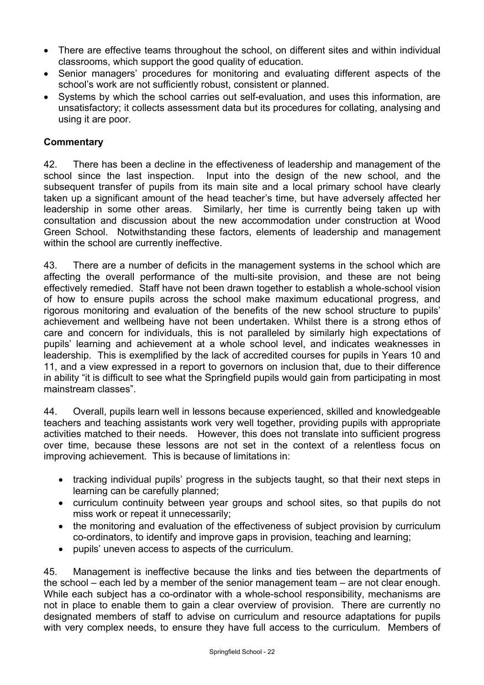- There are effective teams throughout the school, on different sites and within individual classrooms, which support the good quality of education.
- Senior managers' procedures for monitoring and evaluating different aspects of the school's work are not sufficiently robust, consistent or planned.
- Systems by which the school carries out self-evaluation, and uses this information, are unsatisfactory; it collects assessment data but its procedures for collating, analysing and using it are poor.

## **Commentary**

42. There has been a decline in the effectiveness of leadership and management of the school since the last inspection. Input into the design of the new school, and the subsequent transfer of pupils from its main site and a local primary school have clearly taken up a significant amount of the head teacher's time, but have adversely affected her leadership in some other areas. Similarly, her time is currently being taken up with consultation and discussion about the new accommodation under construction at Wood Green School. Notwithstanding these factors, elements of leadership and management within the school are currently ineffective.

43. There are a number of deficits in the management systems in the school which are affecting the overall performance of the multi-site provision, and these are not being effectively remedied. Staff have not been drawn together to establish a whole-school vision of how to ensure pupils across the school make maximum educational progress, and rigorous monitoring and evaluation of the benefits of the new school structure to pupils' achievement and wellbeing have not been undertaken. Whilst there is a strong ethos of care and concern for individuals, this is not paralleled by similarly high expectations of pupils' learning and achievement at a whole school level, and indicates weaknesses in leadership. This is exemplified by the lack of accredited courses for pupils in Years 10 and 11, and a view expressed in a report to governors on inclusion that, due to their difference in ability "it is difficult to see what the Springfield pupils would gain from participating in most mainstream classes".

44. Overall, pupils learn well in lessons because experienced, skilled and knowledgeable teachers and teaching assistants work very well together, providing pupils with appropriate activities matched to their needs. However, this does not translate into sufficient progress over time, because these lessons are not set in the context of a relentless focus on improving achievement. This is because of limitations in:

- tracking individual pupils' progress in the subjects taught, so that their next steps in learning can be carefully planned;
- curriculum continuity between year groups and school sites, so that pupils do not miss work or repeat it unnecessarily;
- the monitoring and evaluation of the effectiveness of subject provision by curriculum co-ordinators, to identify and improve gaps in provision, teaching and learning;
- pupils' uneven access to aspects of the curriculum.

45. Management is ineffective because the links and ties between the departments of the school – each led by a member of the senior management team – are not clear enough. While each subject has a co-ordinator with a whole-school responsibility, mechanisms are not in place to enable them to gain a clear overview of provision. There are currently no designated members of staff to advise on curriculum and resource adaptations for pupils with very complex needs, to ensure they have full access to the curriculum. Members of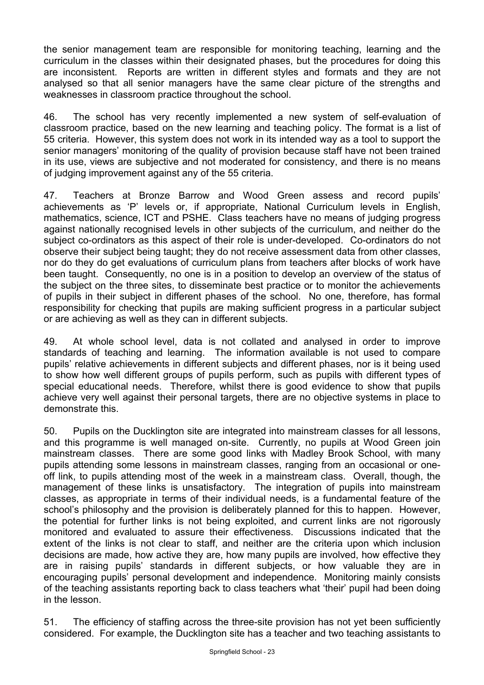the senior management team are responsible for monitoring teaching, learning and the curriculum in the classes within their designated phases, but the procedures for doing this are inconsistent. Reports are written in different styles and formats and they are not analysed so that all senior managers have the same clear picture of the strengths and weaknesses in classroom practice throughout the school.

46. The school has very recently implemented a new system of self-evaluation of classroom practice, based on the new learning and teaching policy. The format is a list of 55 criteria. However, this system does not work in its intended way as a tool to support the senior managers' monitoring of the quality of provision because staff have not been trained in its use, views are subjective and not moderated for consistency, and there is no means of judging improvement against any of the 55 criteria.

47. Teachers at Bronze Barrow and Wood Green assess and record pupils' achievements as 'P' levels or, if appropriate, National Curriculum levels in English, mathematics, science, ICT and PSHE. Class teachers have no means of judging progress against nationally recognised levels in other subjects of the curriculum, and neither do the subject co-ordinators as this aspect of their role is under-developed. Co-ordinators do not observe their subject being taught; they do not receive assessment data from other classes, nor do they do get evaluations of curriculum plans from teachers after blocks of work have been taught. Consequently, no one is in a position to develop an overview of the status of the subject on the three sites, to disseminate best practice or to monitor the achievements of pupils in their subject in different phases of the school. No one, therefore, has formal responsibility for checking that pupils are making sufficient progress in a particular subject or are achieving as well as they can in different subjects.

49. At whole school level, data is not collated and analysed in order to improve standards of teaching and learning. The information available is not used to compare pupils' relative achievements in different subjects and different phases, nor is it being used to show how well different groups of pupils perform, such as pupils with different types of special educational needs. Therefore, whilst there is good evidence to show that pupils achieve very well against their personal targets, there are no objective systems in place to demonstrate this.

50. Pupils on the Ducklington site are integrated into mainstream classes for all lessons, and this programme is well managed on-site. Currently, no pupils at Wood Green join mainstream classes. There are some good links with Madley Brook School, with many pupils attending some lessons in mainstream classes, ranging from an occasional or oneoff link, to pupils attending most of the week in a mainstream class. Overall, though, the management of these links is unsatisfactory. The integration of pupils into mainstream classes, as appropriate in terms of their individual needs, is a fundamental feature of the school's philosophy and the provision is deliberately planned for this to happen. However, the potential for further links is not being exploited, and current links are not rigorously monitored and evaluated to assure their effectiveness. Discussions indicated that the extent of the links is not clear to staff, and neither are the criteria upon which inclusion decisions are made, how active they are, how many pupils are involved, how effective they are in raising pupils' standards in different subjects, or how valuable they are in encouraging pupils' personal development and independence. Monitoring mainly consists of the teaching assistants reporting back to class teachers what 'their' pupil had been doing in the lesson.

51. The efficiency of staffing across the three-site provision has not yet been sufficiently considered. For example, the Ducklington site has a teacher and two teaching assistants to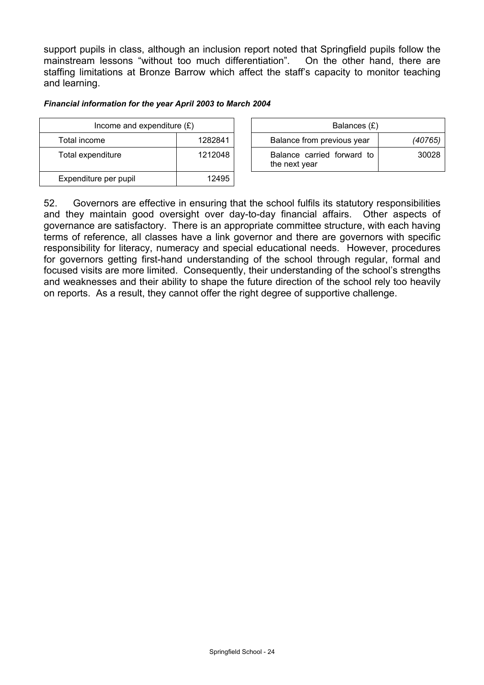support pupils in class, although an inclusion report noted that Springfield pupils follow the mainstream lessons "without too much differentiation". On the other hand, there are staffing limitations at Bronze Barrow which affect the staff's capacity to monitor teaching and learning.

#### *Financial information for the year April 2003 to March 2004*

| Income and expenditure $(E)$ |         | Balances (£)                                |         |
|------------------------------|---------|---------------------------------------------|---------|
| Total income                 | 1282841 | Balance from previous year                  | (40765) |
| Total expenditure            | 1212048 | Balance carried forward to<br>the next year | 30028   |
| Expenditure per pupil        | 12495   |                                             |         |

52. Governors are effective in ensuring that the school fulfils its statutory responsibilities and they maintain good oversight over day-to-day financial affairs. Other aspects of governance are satisfactory. There is an appropriate committee structure, with each having terms of reference, all classes have a link governor and there are governors with specific responsibility for literacy, numeracy and special educational needs. However, procedures for governors getting first-hand understanding of the school through regular, formal and focused visits are more limited. Consequently, their understanding of the school's strengths and weaknesses and their ability to shape the future direction of the school rely too heavily on reports. As a result, they cannot offer the right degree of supportive challenge.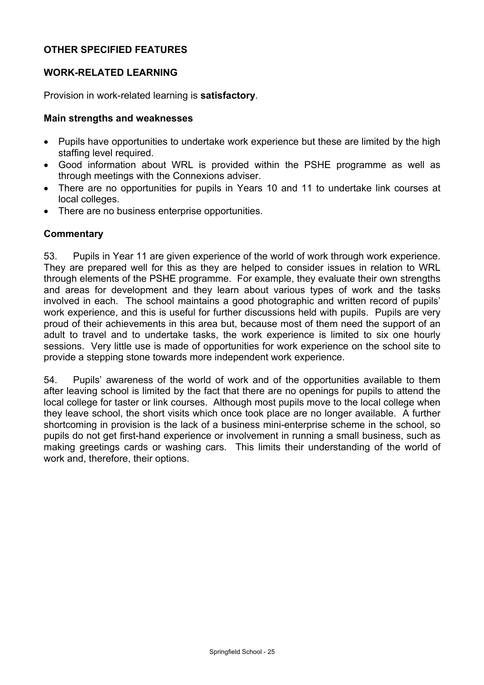## **OTHER SPECIFIED FEATURES**

## **WORK-RELATED LEARNING**

Provision in work-related learning is **satisfactory**.

#### **Main strengths and weaknesses**

- Pupils have opportunities to undertake work experience but these are limited by the high staffing level required.
- Good information about WRL is provided within the PSHE programme as well as through meetings with the Connexions adviser.
- There are no opportunities for pupils in Years 10 and 11 to undertake link courses at local colleges.
- There are no business enterprise opportunities.

#### **Commentary**

53. Pupils in Year 11 are given experience of the world of work through work experience. They are prepared well for this as they are helped to consider issues in relation to WRL through elements of the PSHE programme. For example, they evaluate their own strengths and areas for development and they learn about various types of work and the tasks involved in each. The school maintains a good photographic and written record of pupils' work experience, and this is useful for further discussions held with pupils. Pupils are very proud of their achievements in this area but, because most of them need the support of an adult to travel and to undertake tasks, the work experience is limited to six one hourly sessions. Very little use is made of opportunities for work experience on the school site to provide a stepping stone towards more independent work experience.

54. Pupils' awareness of the world of work and of the opportunities available to them after leaving school is limited by the fact that there are no openings for pupils to attend the local college for taster or link courses. Although most pupils move to the local college when they leave school, the short visits which once took place are no longer available. A further shortcoming in provision is the lack of a business mini-enterprise scheme in the school, so pupils do not get first-hand experience or involvement in running a small business, such as making greetings cards or washing cars. This limits their understanding of the world of work and, therefore, their options.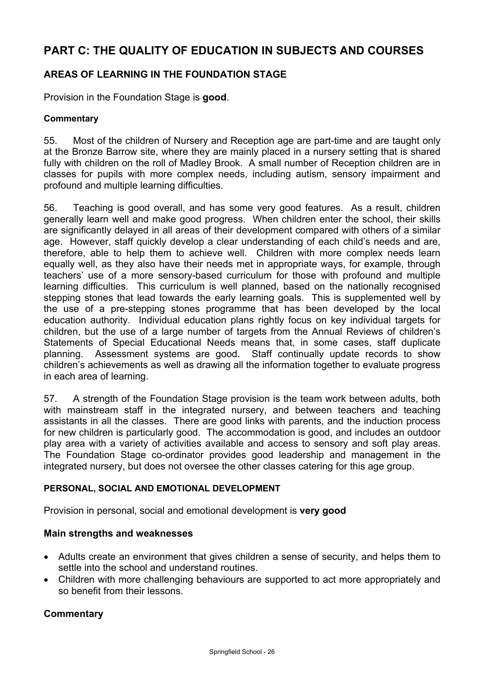# **PART C: THE QUALITY OF EDUCATION IN SUBJECTS AND COURSES**

## **AREAS OF LEARNING IN THE FOUNDATION STAGE**

Provision in the Foundation Stage is **good**.

#### **Commentary**

55. Most of the children of Nursery and Reception age are part-time and are taught only at the Bronze Barrow site, where they are mainly placed in a nursery setting that is shared fully with children on the roll of Madley Brook. A small number of Reception children are in classes for pupils with more complex needs, including autism, sensory impairment and profound and multiple learning difficulties.

56. Teaching is good overall, and has some very good features. As a result, children generally learn well and make good progress. When children enter the school, their skills are significantly delayed in all areas of their development compared with others of a similar age. However, staff quickly develop a clear understanding of each child's needs and are, therefore, able to help them to achieve well. Children with more complex needs learn equally well, as they also have their needs met in appropriate ways, for example, through teachers' use of a more sensory-based curriculum for those with profound and multiple learning difficulties. This curriculum is well planned, based on the nationally recognised stepping stones that lead towards the early learning goals. This is supplemented well by the use of a pre-stepping stones programme that has been developed by the local education authority. Individual education plans rightly focus on key individual targets for children, but the use of a large number of targets from the Annual Reviews of children's Statements of Special Educational Needs means that, in some cases, staff duplicate planning. Assessment systems are good. Staff continually update records to show children's achievements as well as drawing all the information together to evaluate progress in each area of learning.

57. A strength of the Foundation Stage provision is the team work between adults, both with mainstream staff in the integrated nursery, and between teachers and teaching assistants in all the classes. There are good links with parents, and the induction process for new children is particularly good. The accommodation is good, and includes an outdoor play area with a variety of activities available and access to sensory and soft play areas. The Foundation Stage co-ordinator provides good leadership and management in the integrated nursery, but does not oversee the other classes catering for this age group.

#### **PERSONAL, SOCIAL AND EMOTIONAL DEVELOPMENT**

Provision in personal, social and emotional development is **very good** 

#### **Main strengths and weaknesses**

- Adults create an environment that gives children a sense of security, and helps them to settle into the school and understand routines.
- Children with more challenging behaviours are supported to act more appropriately and so benefit from their lessons.

#### **Commentary**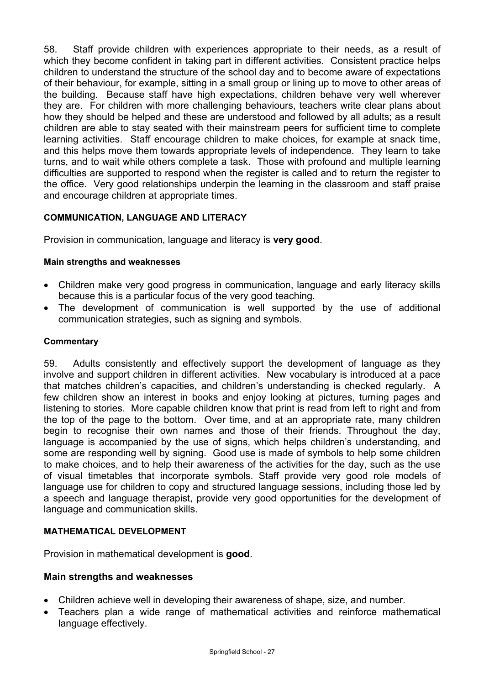58. Staff provide children with experiences appropriate to their needs, as a result of which they become confident in taking part in different activities. Consistent practice helps children to understand the structure of the school day and to become aware of expectations of their behaviour, for example, sitting in a small group or lining up to move to other areas of the building. Because staff have high expectations, children behave very well wherever they are. For children with more challenging behaviours, teachers write clear plans about how they should be helped and these are understood and followed by all adults; as a result children are able to stay seated with their mainstream peers for sufficient time to complete learning activities. Staff encourage children to make choices, for example at snack time, and this helps move them towards appropriate levels of independence. They learn to take turns, and to wait while others complete a task. Those with profound and multiple learning difficulties are supported to respond when the register is called and to return the register to the office. Very good relationships underpin the learning in the classroom and staff praise and encourage children at appropriate times.

## **COMMUNICATION, LANGUAGE AND LITERACY**

Provision in communication, language and literacy is **very good**.

#### **Main strengths and weaknesses**

- Children make very good progress in communication, language and early literacy skills because this is a particular focus of the very good teaching.
- The development of communication is well supported by the use of additional communication strategies, such as signing and symbols.

#### **Commentary**

59. Adults consistently and effectively support the development of language as they involve and support children in different activities. New vocabulary is introduced at a pace that matches children's capacities, and children's understanding is checked regularly. A few children show an interest in books and enjoy looking at pictures, turning pages and listening to stories. More capable children know that print is read from left to right and from the top of the page to the bottom. Over time, and at an appropriate rate, many children begin to recognise their own names and those of their friends. Throughout the day, language is accompanied by the use of signs, which helps children's understanding, and some are responding well by signing. Good use is made of symbols to help some children to make choices, and to help their awareness of the activities for the day, such as the use of visual timetables that incorporate symbols. Staff provide very good role models of language use for children to copy and structured language sessions, including those led by a speech and language therapist, provide very good opportunities for the development of language and communication skills.

#### **MATHEMATICAL DEVELOPMENT**

Provision in mathematical development is **good**.

#### **Main strengths and weaknesses**

- Children achieve well in developing their awareness of shape, size, and number.
- Teachers plan a wide range of mathematical activities and reinforce mathematical language effectively.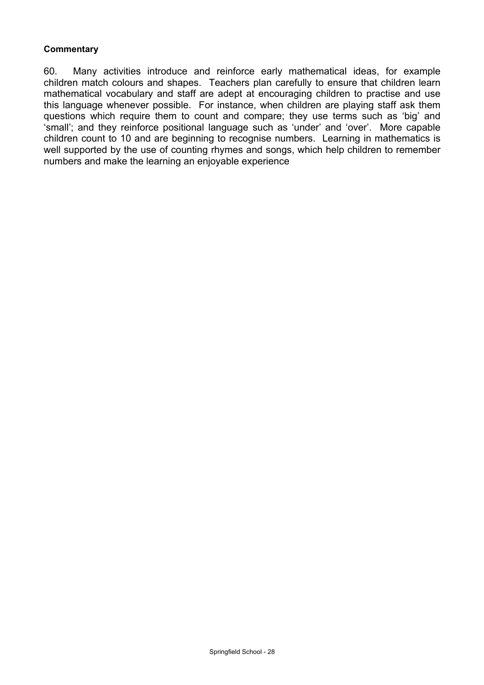#### **Commentary**

60. Many activities introduce and reinforce early mathematical ideas, for example children match colours and shapes. Teachers plan carefully to ensure that children learn mathematical vocabulary and staff are adept at encouraging children to practise and use this language whenever possible. For instance, when children are playing staff ask them questions which require them to count and compare; they use terms such as 'big' and 'small'; and they reinforce positional language such as 'under' and 'over'. More capable children count to 10 and are beginning to recognise numbers. Learning in mathematics is well supported by the use of counting rhymes and songs, which help children to remember numbers and make the learning an enjoyable experience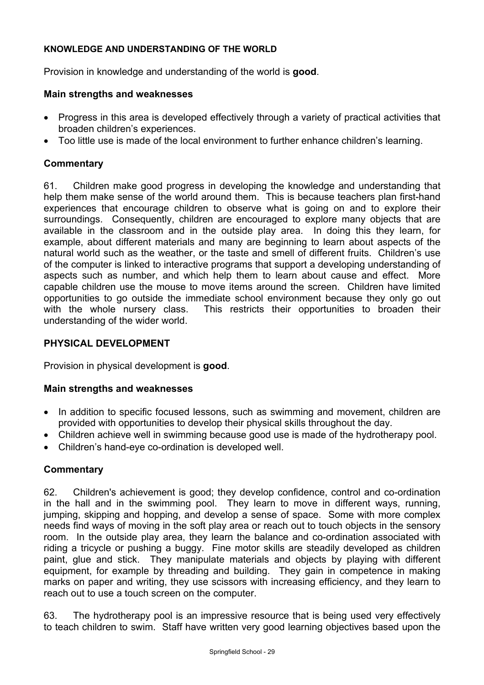### **KNOWLEDGE AND UNDERSTANDING OF THE WORLD**

Provision in knowledge and understanding of the world is **good**.

## **Main strengths and weaknesses**

- Progress in this area is developed effectively through a variety of practical activities that broaden children's experiences.
- Too little use is made of the local environment to further enhance children's learning.

## **Commentary**

61. Children make good progress in developing the knowledge and understanding that help them make sense of the world around them. This is because teachers plan first-hand experiences that encourage children to observe what is going on and to explore their surroundings. Consequently, children are encouraged to explore many objects that are available in the classroom and in the outside play area. In doing this they learn, for example, about different materials and many are beginning to learn about aspects of the natural world such as the weather, or the taste and smell of different fruits. Children's use of the computer is linked to interactive programs that support a developing understanding of aspects such as number, and which help them to learn about cause and effect. More capable children use the mouse to move items around the screen. Children have limited opportunities to go outside the immediate school environment because they only go out with the whole nursery class. This restricts their opportunities to broaden their understanding of the wider world.

## **PHYSICAL DEVELOPMENT**

Provision in physical development is **good**.

#### **Main strengths and weaknesses**

- In addition to specific focused lessons, such as swimming and movement, children are provided with opportunities to develop their physical skills throughout the day.
- Children achieve well in swimming because good use is made of the hydrotherapy pool.
- Children's hand-eye co-ordination is developed well.

## **Commentary**

62. Children's achievement is good; they develop confidence, control and co-ordination in the hall and in the swimming pool. They learn to move in different ways, running, jumping, skipping and hopping, and develop a sense of space. Some with more complex needs find ways of moving in the soft play area or reach out to touch objects in the sensory room. In the outside play area, they learn the balance and co-ordination associated with riding a tricycle or pushing a buggy. Fine motor skills are steadily developed as children paint, glue and stick. They manipulate materials and objects by playing with different equipment, for example by threading and building. They gain in competence in making marks on paper and writing, they use scissors with increasing efficiency, and they learn to reach out to use a touch screen on the computer.

63. The hydrotherapy pool is an impressive resource that is being used very effectively to teach children to swim. Staff have written very good learning objectives based upon the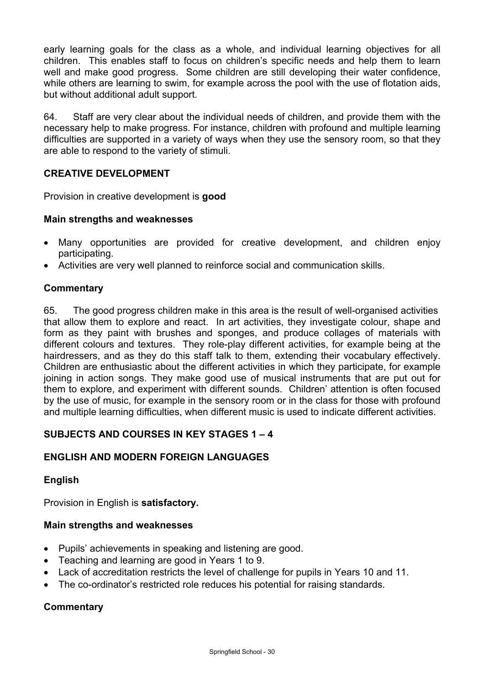early learning goals for the class as a whole, and individual learning objectives for all children. This enables staff to focus on children's specific needs and help them to learn well and make good progress. Some children are still developing their water confidence, while others are learning to swim, for example across the pool with the use of flotation aids, but without additional adult support.

64. Staff are very clear about the individual needs of children, and provide them with the necessary help to make progress. For instance, children with profound and multiple learning difficulties are supported in a variety of ways when they use the sensory room, so that they are able to respond to the variety of stimuli.

## **CREATIVE DEVELOPMENT**

Provision in creative development is **good** 

#### **Main strengths and weaknesses**

- Many opportunities are provided for creative development, and children enjoy participating.
- Activities are very well planned to reinforce social and communication skills.

## **Commentary**

65. The good progress children make in this area is the result of well-organised activities that allow them to explore and react. In art activities, they investigate colour, shape and form as they paint with brushes and sponges, and produce collages of materials with different colours and textures. They role-play different activities, for example being at the hairdressers, and as they do this staff talk to them, extending their vocabulary effectively. Children are enthusiastic about the different activities in which they participate, for example joining in action songs. They make good use of musical instruments that are put out for them to explore, and experiment with different sounds. Children' attention is often focused by the use of music, for example in the sensory room or in the class for those with profound and multiple learning difficulties, when different music is used to indicate different activities.

## **SUBJECTS AND COURSES IN KEY STAGES 1 – 4**

## **ENGLISH AND MODERN FOREIGN LANGUAGES**

## **English**

Provision in English is **satisfactory.**

#### **Main strengths and weaknesses**

- Pupils' achievements in speaking and listening are good.
- Teaching and learning are good in Years 1 to 9.
- Lack of accreditation restricts the level of challenge for pupils in Years 10 and 11.
- The co-ordinator's restricted role reduces his potential for raising standards.

## **Commentary**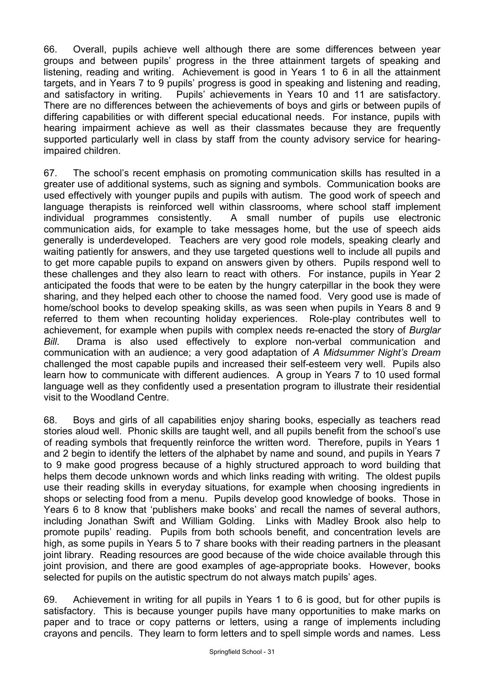66. Overall, pupils achieve well although there are some differences between year groups and between pupils' progress in the three attainment targets of speaking and listening, reading and writing. Achievement is good in Years 1 to 6 in all the attainment targets, and in Years 7 to 9 pupils' progress is good in speaking and listening and reading, and satisfactory in writing. Pupils' achievements in Years 10 and 11 are satisfactory. There are no differences between the achievements of boys and girls or between pupils of differing capabilities or with different special educational needs. For instance, pupils with hearing impairment achieve as well as their classmates because they are frequently supported particularly well in class by staff from the county advisory service for hearingimpaired children.

67. The school's recent emphasis on promoting communication skills has resulted in a greater use of additional systems, such as signing and symbols. Communication books are used effectively with younger pupils and pupils with autism. The good work of speech and language therapists is reinforced well within classrooms, where school staff implement individual programmes consistently. A small number of pupils use electronic communication aids, for example to take messages home, but the use of speech aids generally is underdeveloped. Teachers are very good role models, speaking clearly and waiting patiently for answers, and they use targeted questions well to include all pupils and to get more capable pupils to expand on answers given by others. Pupils respond well to these challenges and they also learn to react with others. For instance, pupils in Year 2 anticipated the foods that were to be eaten by the hungry caterpillar in the book they were sharing, and they helped each other to choose the named food. Very good use is made of home/school books to develop speaking skills, as was seen when pupils in Years 8 and 9 referred to them when recounting holiday experiences. Role-play contributes well to achievement, for example when pupils with complex needs re-enacted the story of *Burglar Bill*. Drama is also used effectively to explore non-verbal communication and communication with an audience; a very good adaptation of *A Midsummer Night's Dream* challenged the most capable pupils and increased their self-esteem very well. Pupils also learn how to communicate with different audiences. A group in Years 7 to 10 used formal language well as they confidently used a presentation program to illustrate their residential visit to the Woodland Centre.

68. Boys and girls of all capabilities enjoy sharing books, especially as teachers read stories aloud well. Phonic skills are taught well, and all pupils benefit from the school's use of reading symbols that frequently reinforce the written word. Therefore, pupils in Years 1 and 2 begin to identify the letters of the alphabet by name and sound, and pupils in Years 7 to 9 make good progress because of a highly structured approach to word building that helps them decode unknown words and which links reading with writing. The oldest pupils use their reading skills in everyday situations, for example when choosing ingredients in shops or selecting food from a menu. Pupils develop good knowledge of books. Those in Years 6 to 8 know that 'publishers make books' and recall the names of several authors, including Jonathan Swift and William Golding. Links with Madley Brook also help to promote pupils' reading. Pupils from both schools benefit, and concentration levels are high, as some pupils in Years 5 to 7 share books with their reading partners in the pleasant joint library. Reading resources are good because of the wide choice available through this joint provision, and there are good examples of age-appropriate books. However, books selected for pupils on the autistic spectrum do not always match pupils' ages.

69. Achievement in writing for all pupils in Years 1 to 6 is good, but for other pupils is satisfactory. This is because younger pupils have many opportunities to make marks on paper and to trace or copy patterns or letters, using a range of implements including crayons and pencils. They learn to form letters and to spell simple words and names. Less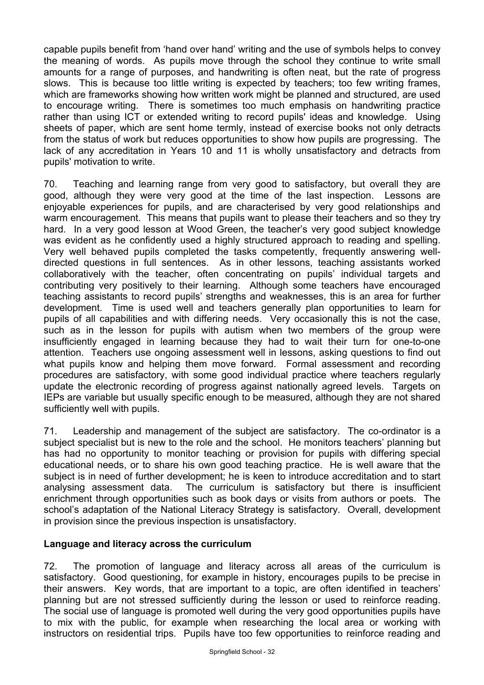capable pupils benefit from 'hand over hand' writing and the use of symbols helps to convey the meaning of words. As pupils move through the school they continue to write small amounts for a range of purposes, and handwriting is often neat, but the rate of progress slows. This is because too little writing is expected by teachers; too few writing frames, which are frameworks showing how written work might be planned and structured, are used to encourage writing. There is sometimes too much emphasis on handwriting practice rather than using ICT or extended writing to record pupils' ideas and knowledge. Using sheets of paper, which are sent home termly, instead of exercise books not only detracts from the status of work but reduces opportunities to show how pupils are progressing. The lack of any accreditation in Years 10 and 11 is wholly unsatisfactory and detracts from pupils' motivation to write.

70. Teaching and learning range from very good to satisfactory, but overall they are good, although they were very good at the time of the last inspection. Lessons are enjoyable experiences for pupils, and are characterised by very good relationships and warm encouragement. This means that pupils want to please their teachers and so they try hard. In a very good lesson at Wood Green, the teacher's very good subject knowledge was evident as he confidently used a highly structured approach to reading and spelling. Very well behaved pupils completed the tasks competently, frequently answering welldirected questions in full sentences. As in other lessons, teaching assistants worked collaboratively with the teacher, often concentrating on pupils' individual targets and contributing very positively to their learning. Although some teachers have encouraged teaching assistants to record pupils' strengths and weaknesses, this is an area for further development. Time is used well and teachers generally plan opportunities to learn for pupils of all capabilities and with differing needs. Very occasionally this is not the case, such as in the lesson for pupils with autism when two members of the group were insufficiently engaged in learning because they had to wait their turn for one-to-one attention. Teachers use ongoing assessment well in lessons, asking questions to find out what pupils know and helping them move forward. Formal assessment and recording procedures are satisfactory, with some good individual practice where teachers regularly update the electronic recording of progress against nationally agreed levels. Targets on IEPs are variable but usually specific enough to be measured, although they are not shared sufficiently well with pupils.

71. Leadership and management of the subject are satisfactory. The co-ordinator is a subject specialist but is new to the role and the school. He monitors teachers' planning but has had no opportunity to monitor teaching or provision for pupils with differing special educational needs, or to share his own good teaching practice. He is well aware that the subject is in need of further development; he is keen to introduce accreditation and to start analysing assessment data. The curriculum is satisfactory but there is insufficient enrichment through opportunities such as book days or visits from authors or poets. The school's adaptation of the National Literacy Strategy is satisfactory. Overall, development in provision since the previous inspection is unsatisfactory.

#### **Language and literacy across the curriculum**

72. The promotion of language and literacy across all areas of the curriculum is satisfactory. Good questioning, for example in history, encourages pupils to be precise in their answers. Key words, that are important to a topic, are often identified in teachers' planning but are not stressed sufficiently during the lesson or used to reinforce reading. The social use of language is promoted well during the very good opportunities pupils have to mix with the public, for example when researching the local area or working with instructors on residential trips. Pupils have too few opportunities to reinforce reading and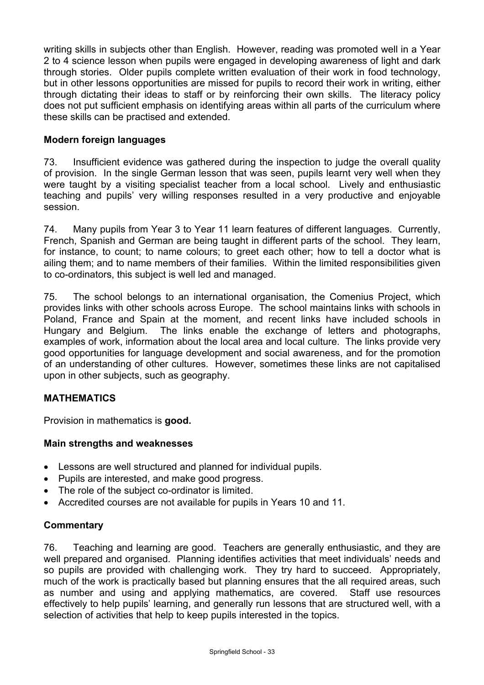writing skills in subjects other than English. However, reading was promoted well in a Year 2 to 4 science lesson when pupils were engaged in developing awareness of light and dark through stories. Older pupils complete written evaluation of their work in food technology, but in other lessons opportunities are missed for pupils to record their work in writing, either through dictating their ideas to staff or by reinforcing their own skills. The literacy policy does not put sufficient emphasis on identifying areas within all parts of the curriculum where these skills can be practised and extended.

## **Modern foreign languages**

73. Insufficient evidence was gathered during the inspection to judge the overall quality of provision. In the single German lesson that was seen, pupils learnt very well when they were taught by a visiting specialist teacher from a local school. Lively and enthusiastic teaching and pupils' very willing responses resulted in a very productive and enjoyable session.

74. Many pupils from Year 3 to Year 11 learn features of different languages. Currently, French, Spanish and German are being taught in different parts of the school. They learn, for instance, to count; to name colours; to greet each other; how to tell a doctor what is ailing them; and to name members of their families. Within the limited responsibilities given to co-ordinators, this subject is well led and managed.

75. The school belongs to an international organisation, the Comenius Project, which provides links with other schools across Europe. The school maintains links with schools in Poland, France and Spain at the moment, and recent links have included schools in Hungary and Belgium. The links enable the exchange of letters and photographs, examples of work, information about the local area and local culture. The links provide very good opportunities for language development and social awareness, and for the promotion of an understanding of other cultures. However, sometimes these links are not capitalised upon in other subjects, such as geography.

#### **MATHEMATICS**

Provision in mathematics is **good.**

#### **Main strengths and weaknesses**

- Lessons are well structured and planned for individual pupils.
- Pupils are interested, and make good progress.
- The role of the subject co-ordinator is limited.
- Accredited courses are not available for pupils in Years 10 and 11.

#### **Commentary**

76. Teaching and learning are good. Teachers are generally enthusiastic, and they are well prepared and organised. Planning identifies activities that meet individuals' needs and so pupils are provided with challenging work. They try hard to succeed. Appropriately, much of the work is practically based but planning ensures that the all required areas, such as number and using and applying mathematics, are covered. Staff use resources effectively to help pupils' learning, and generally run lessons that are structured well, with a selection of activities that help to keep pupils interested in the topics.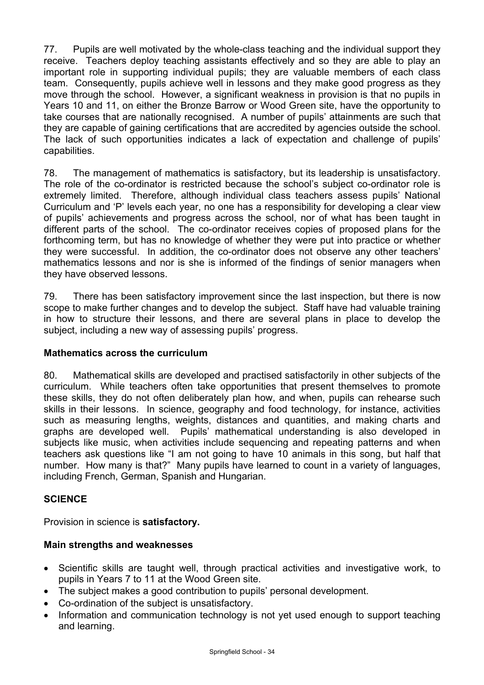77. Pupils are well motivated by the whole-class teaching and the individual support they receive. Teachers deploy teaching assistants effectively and so they are able to play an important role in supporting individual pupils; they are valuable members of each class team. Consequently, pupils achieve well in lessons and they make good progress as they move through the school. However, a significant weakness in provision is that no pupils in Years 10 and 11, on either the Bronze Barrow or Wood Green site, have the opportunity to take courses that are nationally recognised. A number of pupils' attainments are such that they are capable of gaining certifications that are accredited by agencies outside the school. The lack of such opportunities indicates a lack of expectation and challenge of pupils' capabilities.

78. The management of mathematics is satisfactory, but its leadership is unsatisfactory. The role of the co-ordinator is restricted because the school's subject co-ordinator role is extremely limited. Therefore, although individual class teachers assess pupils' National Curriculum and 'P' levels each year, no one has a responsibility for developing a clear view of pupils' achievements and progress across the school, nor of what has been taught in different parts of the school. The co-ordinator receives copies of proposed plans for the forthcoming term, but has no knowledge of whether they were put into practice or whether they were successful. In addition, the co-ordinator does not observe any other teachers' mathematics lessons and nor is she is informed of the findings of senior managers when they have observed lessons.

79. There has been satisfactory improvement since the last inspection, but there is now scope to make further changes and to develop the subject. Staff have had valuable training in how to structure their lessons, and there are several plans in place to develop the subject, including a new way of assessing pupils' progress.

## **Mathematics across the curriculum**

80. Mathematical skills are developed and practised satisfactorily in other subjects of the curriculum. While teachers often take opportunities that present themselves to promote these skills, they do not often deliberately plan how, and when, pupils can rehearse such skills in their lessons. In science, geography and food technology, for instance, activities such as measuring lengths, weights, distances and quantities, and making charts and graphs are developed well. Pupils' mathematical understanding is also developed in subjects like music, when activities include sequencing and repeating patterns and when teachers ask questions like "I am not going to have 10 animals in this song, but half that number. How many is that?" Many pupils have learned to count in a variety of languages, including French, German, Spanish and Hungarian.

## **SCIENCE**

Provision in science is **satisfactory.** 

## **Main strengths and weaknesses**

- Scientific skills are taught well, through practical activities and investigative work, to pupils in Years 7 to 11 at the Wood Green site.
- The subject makes a good contribution to pupils' personal development.
- Co-ordination of the subject is unsatisfactory.
- Information and communication technology is not yet used enough to support teaching and learning.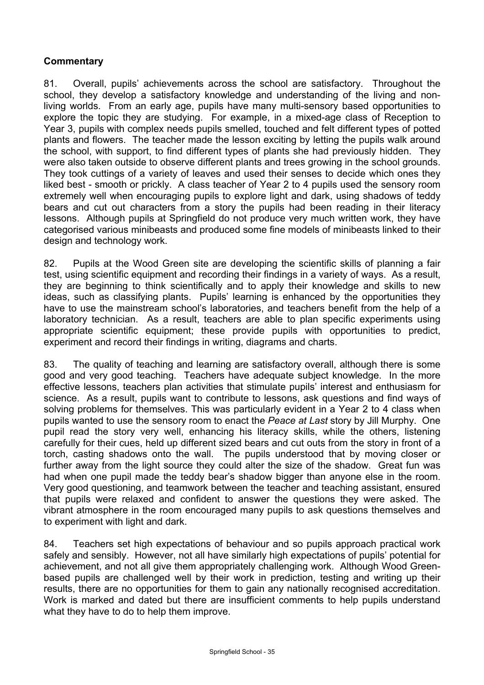## **Commentary**

81. Overall, pupils' achievements across the school are satisfactory. Throughout the school, they develop a satisfactory knowledge and understanding of the living and nonliving worlds. From an early age, pupils have many multi-sensory based opportunities to explore the topic they are studying. For example, in a mixed-age class of Reception to Year 3, pupils with complex needs pupils smelled, touched and felt different types of potted plants and flowers. The teacher made the lesson exciting by letting the pupils walk around the school, with support, to find different types of plants she had previously hidden. They were also taken outside to observe different plants and trees growing in the school grounds. They took cuttings of a variety of leaves and used their senses to decide which ones they liked best - smooth or prickly. A class teacher of Year 2 to 4 pupils used the sensory room extremely well when encouraging pupils to explore light and dark, using shadows of teddy bears and cut out characters from a story the pupils had been reading in their literacy lessons. Although pupils at Springfield do not produce very much written work, they have categorised various minibeasts and produced some fine models of minibeasts linked to their design and technology work.

82. Pupils at the Wood Green site are developing the scientific skills of planning a fair test, using scientific equipment and recording their findings in a variety of ways. As a result, they are beginning to think scientifically and to apply their knowledge and skills to new ideas, such as classifying plants. Pupils' learning is enhanced by the opportunities they have to use the mainstream school's laboratories, and teachers benefit from the help of a laboratory technician. As a result, teachers are able to plan specific experiments using appropriate scientific equipment; these provide pupils with opportunities to predict, experiment and record their findings in writing, diagrams and charts.

83. The quality of teaching and learning are satisfactory overall, although there is some good and very good teaching. Teachers have adequate subject knowledge. In the more effective lessons, teachers plan activities that stimulate pupils' interest and enthusiasm for science. As a result, pupils want to contribute to lessons, ask questions and find ways of solving problems for themselves. This was particularly evident in a Year 2 to 4 class when pupils wanted to use the sensory room to enact the *Peace at Last* story by Jill Murphy. One pupil read the story very well, enhancing his literacy skills, while the others, listening carefully for their cues, held up different sized bears and cut outs from the story in front of a torch, casting shadows onto the wall. The pupils understood that by moving closer or further away from the light source they could alter the size of the shadow. Great fun was had when one pupil made the teddy bear's shadow bigger than anyone else in the room. Very good questioning, and teamwork between the teacher and teaching assistant, ensured that pupils were relaxed and confident to answer the questions they were asked. The vibrant atmosphere in the room encouraged many pupils to ask questions themselves and to experiment with light and dark.

84. Teachers set high expectations of behaviour and so pupils approach practical work safely and sensibly. However, not all have similarly high expectations of pupils' potential for achievement, and not all give them appropriately challenging work. Although Wood Greenbased pupils are challenged well by their work in prediction, testing and writing up their results, there are no opportunities for them to gain any nationally recognised accreditation. Work is marked and dated but there are insufficient comments to help pupils understand what they have to do to help them improve.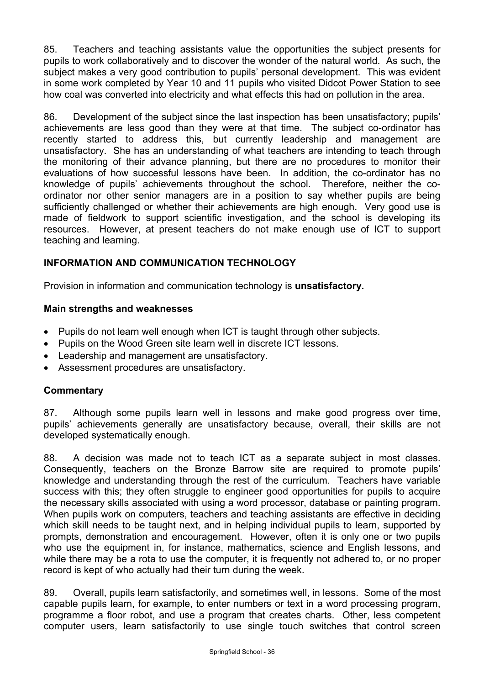85. Teachers and teaching assistants value the opportunities the subject presents for pupils to work collaboratively and to discover the wonder of the natural world. As such, the subject makes a very good contribution to pupils' personal development. This was evident in some work completed by Year 10 and 11 pupils who visited Didcot Power Station to see how coal was converted into electricity and what effects this had on pollution in the area.

86. Development of the subject since the last inspection has been unsatisfactory; pupils' achievements are less good than they were at that time. The subject co-ordinator has recently started to address this, but currently leadership and management are unsatisfactory. She has an understanding of what teachers are intending to teach through the monitoring of their advance planning, but there are no procedures to monitor their evaluations of how successful lessons have been. In addition, the co-ordinator has no knowledge of pupils' achievements throughout the school. Therefore, neither the coordinator nor other senior managers are in a position to say whether pupils are being sufficiently challenged or whether their achievements are high enough. Very good use is made of fieldwork to support scientific investigation, and the school is developing its resources. However, at present teachers do not make enough use of ICT to support teaching and learning.

## **INFORMATION AND COMMUNICATION TECHNOLOGY**

Provision in information and communication technology is **unsatisfactory.** 

#### **Main strengths and weaknesses**

- Pupils do not learn well enough when ICT is taught through other subjects.
- Pupils on the Wood Green site learn well in discrete ICT lessons.
- Leadership and management are unsatisfactory.
- Assessment procedures are unsatisfactory.

#### **Commentary**

87. Although some pupils learn well in lessons and make good progress over time, pupils' achievements generally are unsatisfactory because, overall, their skills are not developed systematically enough.

88. A decision was made not to teach ICT as a separate subject in most classes. Consequently, teachers on the Bronze Barrow site are required to promote pupils' knowledge and understanding through the rest of the curriculum. Teachers have variable success with this; they often struggle to engineer good opportunities for pupils to acquire the necessary skills associated with using a word processor, database or painting program. When pupils work on computers, teachers and teaching assistants are effective in deciding which skill needs to be taught next, and in helping individual pupils to learn, supported by prompts, demonstration and encouragement. However, often it is only one or two pupils who use the equipment in, for instance, mathematics, science and English lessons, and while there may be a rota to use the computer, it is frequently not adhered to, or no proper record is kept of who actually had their turn during the week.

89. Overall, pupils learn satisfactorily, and sometimes well, in lessons. Some of the most capable pupils learn, for example, to enter numbers or text in a word processing program, programme a floor robot, and use a program that creates charts. Other, less competent computer users, learn satisfactorily to use single touch switches that control screen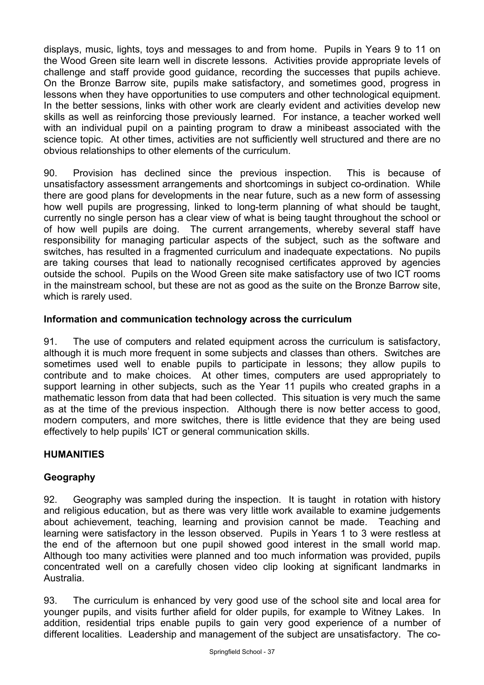displays, music, lights, toys and messages to and from home. Pupils in Years 9 to 11 on the Wood Green site learn well in discrete lessons. Activities provide appropriate levels of challenge and staff provide good guidance, recording the successes that pupils achieve. On the Bronze Barrow site, pupils make satisfactory, and sometimes good, progress in lessons when they have opportunities to use computers and other technological equipment. In the better sessions, links with other work are clearly evident and activities develop new skills as well as reinforcing those previously learned. For instance, a teacher worked well with an individual pupil on a painting program to draw a minibeast associated with the science topic. At other times, activities are not sufficiently well structured and there are no obvious relationships to other elements of the curriculum.

90. Provision has declined since the previous inspection. This is because of unsatisfactory assessment arrangements and shortcomings in subject co-ordination. While there are good plans for developments in the near future, such as a new form of assessing how well pupils are progressing, linked to long-term planning of what should be taught, currently no single person has a clear view of what is being taught throughout the school or of how well pupils are doing. The current arrangements, whereby several staff have responsibility for managing particular aspects of the subject, such as the software and switches, has resulted in a fragmented curriculum and inadequate expectations. No pupils are taking courses that lead to nationally recognised certificates approved by agencies outside the school. Pupils on the Wood Green site make satisfactory use of two ICT rooms in the mainstream school, but these are not as good as the suite on the Bronze Barrow site, which is rarely used.

## **Information and communication technology across the curriculum**

91. The use of computers and related equipment across the curriculum is satisfactory, although it is much more frequent in some subjects and classes than others. Switches are sometimes used well to enable pupils to participate in lessons; they allow pupils to contribute and to make choices. At other times, computers are used appropriately to support learning in other subjects, such as the Year 11 pupils who created graphs in a mathematic lesson from data that had been collected. This situation is very much the same as at the time of the previous inspection. Although there is now better access to good, modern computers, and more switches, there is little evidence that they are being used effectively to help pupils' ICT or general communication skills.

## **HUMANITIES**

## **Geography**

92. Geography was sampled during the inspection. It is taught in rotation with history and religious education, but as there was very little work available to examine judgements about achievement, teaching, learning and provision cannot be made. Teaching and learning were satisfactory in the lesson observed. Pupils in Years 1 to 3 were restless at the end of the afternoon but one pupil showed good interest in the small world map. Although too many activities were planned and too much information was provided, pupils concentrated well on a carefully chosen video clip looking at significant landmarks in Australia.

93. The curriculum is enhanced by very good use of the school site and local area for younger pupils, and visits further afield for older pupils, for example to Witney Lakes. In addition, residential trips enable pupils to gain very good experience of a number of different localities. Leadership and management of the subject are unsatisfactory. The co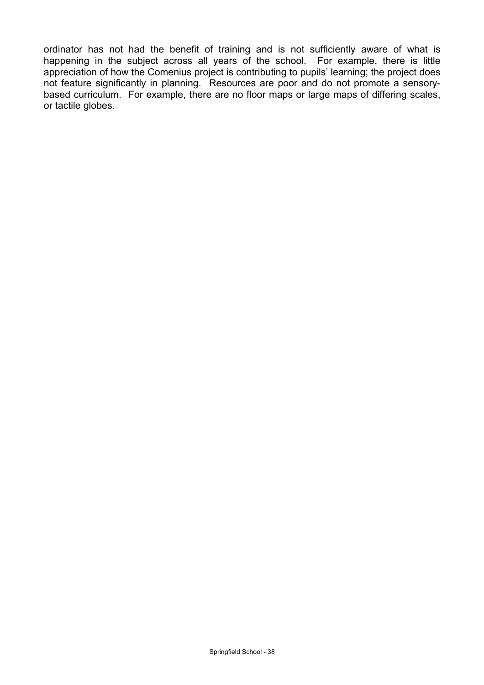ordinator has not had the benefit of training and is not sufficiently aware of what is happening in the subject across all years of the school. For example, there is little appreciation of how the Comenius project is contributing to pupils' learning; the project does not feature significantly in planning. Resources are poor and do not promote a sensorybased curriculum. For example, there are no floor maps or large maps of differing scales, or tactile globes.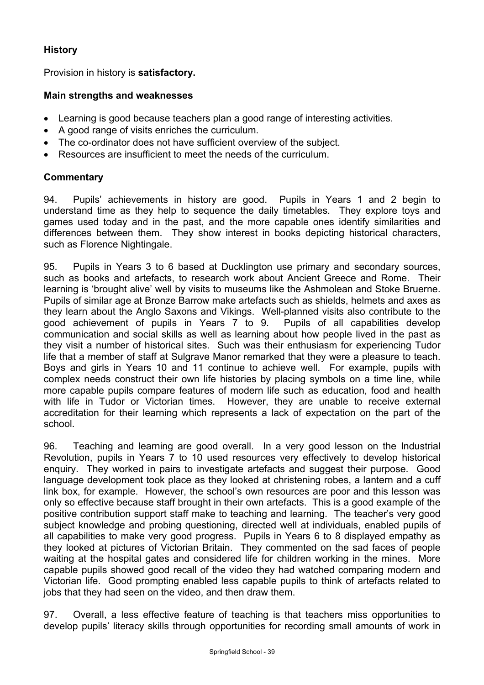## **History**

Provision in history is **satisfactory.**

## **Main strengths and weaknesses**

- Learning is good because teachers plan a good range of interesting activities.
- A good range of visits enriches the curriculum.
- The co-ordinator does not have sufficient overview of the subject.
- Resources are insufficient to meet the needs of the curriculum.

## **Commentary**

94. Pupils' achievements in history are good. Pupils in Years 1 and 2 begin to understand time as they help to sequence the daily timetables. They explore toys and games used today and in the past, and the more capable ones identify similarities and differences between them. They show interest in books depicting historical characters, such as Florence Nightingale.

95. Pupils in Years 3 to 6 based at Ducklington use primary and secondary sources, such as books and artefacts, to research work about Ancient Greece and Rome. Their learning is 'brought alive' well by visits to museums like the Ashmolean and Stoke Bruerne. Pupils of similar age at Bronze Barrow make artefacts such as shields, helmets and axes as they learn about the Anglo Saxons and Vikings. Well-planned visits also contribute to the good achievement of pupils in Years 7 to 9. Pupils of all capabilities develop communication and social skills as well as learning about how people lived in the past as they visit a number of historical sites. Such was their enthusiasm for experiencing Tudor life that a member of staff at Sulgrave Manor remarked that they were a pleasure to teach. Boys and girls in Years 10 and 11 continue to achieve well. For example, pupils with complex needs construct their own life histories by placing symbols on a time line, while more capable pupils compare features of modern life such as education, food and health with life in Tudor or Victorian times. However, they are unable to receive external accreditation for their learning which represents a lack of expectation on the part of the school.

96. Teaching and learning are good overall. In a very good lesson on the Industrial Revolution, pupils in Years 7 to 10 used resources very effectively to develop historical enquiry. They worked in pairs to investigate artefacts and suggest their purpose. Good language development took place as they looked at christening robes, a lantern and a cuff link box, for example. However, the school's own resources are poor and this lesson was only so effective because staff brought in their own artefacts. This is a good example of the positive contribution support staff make to teaching and learning. The teacher's very good subject knowledge and probing questioning, directed well at individuals, enabled pupils of all capabilities to make very good progress. Pupils in Years 6 to 8 displayed empathy as they looked at pictures of Victorian Britain. They commented on the sad faces of people waiting at the hospital gates and considered life for children working in the mines. More capable pupils showed good recall of the video they had watched comparing modern and Victorian life. Good prompting enabled less capable pupils to think of artefacts related to jobs that they had seen on the video, and then draw them.

97. Overall, a less effective feature of teaching is that teachers miss opportunities to develop pupils' literacy skills through opportunities for recording small amounts of work in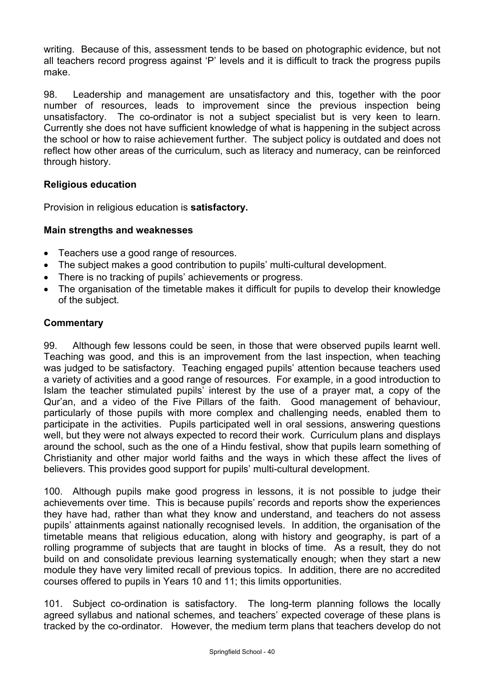writing. Because of this, assessment tends to be based on photographic evidence, but not all teachers record progress against 'P' levels and it is difficult to track the progress pupils make.

98. Leadership and management are unsatisfactory and this, together with the poor number of resources, leads to improvement since the previous inspection being unsatisfactory. The co-ordinator is not a subject specialist but is very keen to learn. Currently she does not have sufficient knowledge of what is happening in the subject across the school or how to raise achievement further. The subject policy is outdated and does not reflect how other areas of the curriculum, such as literacy and numeracy, can be reinforced through history.

## **Religious education**

Provision in religious education is **satisfactory.** 

## **Main strengths and weaknesses**

- Teachers use a good range of resources.
- The subject makes a good contribution to pupils' multi-cultural development.
- There is no tracking of pupils' achievements or progress.
- The organisation of the timetable makes it difficult for pupils to develop their knowledge of the subject.

## **Commentary**

99. Although few lessons could be seen, in those that were observed pupils learnt well. Teaching was good, and this is an improvement from the last inspection, when teaching was judged to be satisfactory. Teaching engaged pupils' attention because teachers used a variety of activities and a good range of resources. For example, in a good introduction to Islam the teacher stimulated pupils' interest by the use of a prayer mat, a copy of the Qur'an, and a video of the Five Pillars of the faith. Good management of behaviour, particularly of those pupils with more complex and challenging needs, enabled them to participate in the activities. Pupils participated well in oral sessions, answering questions well, but they were not always expected to record their work. Curriculum plans and displays around the school, such as the one of a Hindu festival, show that pupils learn something of Christianity and other major world faiths and the ways in which these affect the lives of believers. This provides good support for pupils' multi-cultural development.

100. Although pupils make good progress in lessons, it is not possible to judge their achievements over time. This is because pupils' records and reports show the experiences they have had, rather than what they know and understand, and teachers do not assess pupils' attainments against nationally recognised levels. In addition, the organisation of the timetable means that religious education, along with history and geography, is part of a rolling programme of subjects that are taught in blocks of time. As a result, they do not build on and consolidate previous learning systematically enough; when they start a new module they have very limited recall of previous topics. In addition, there are no accredited courses offered to pupils in Years 10 and 11; this limits opportunities.

101. Subject co-ordination is satisfactory. The long-term planning follows the locally agreed syllabus and national schemes, and teachers' expected coverage of these plans is tracked by the co-ordinator. However, the medium term plans that teachers develop do not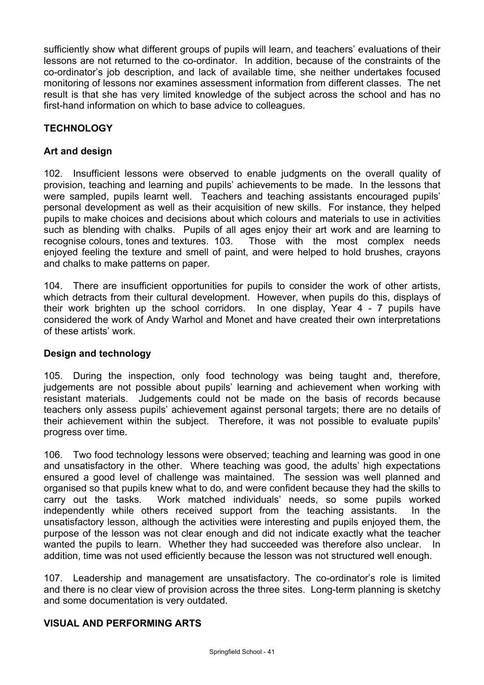sufficiently show what different groups of pupils will learn, and teachers' evaluations of their lessons are not returned to the co-ordinator. In addition, because of the constraints of the co-ordinator's job description, and lack of available time, she neither undertakes focused monitoring of lessons nor examines assessment information from different classes. The net result is that she has very limited knowledge of the subject across the school and has no first-hand information on which to base advice to colleagues.

## **TECHNOLOGY**

## **Art and design**

102. Insufficient lessons were observed to enable judgments on the overall quality of provision, teaching and learning and pupils' achievements to be made. In the lessons that were sampled, pupils learnt well. Teachers and teaching assistants encouraged pupils' personal development as well as their acquisition of new skills. For instance, they helped pupils to make choices and decisions about which colours and materials to use in activities such as blending with chalks. Pupils of all ages enjoy their art work and are learning to recognise colours, tones and textures. 103. Those with the most complex needs enjoyed feeling the texture and smell of paint, and were helped to hold brushes, crayons and chalks to make patterns on paper.

104. There are insufficient opportunities for pupils to consider the work of other artists, which detracts from their cultural development. However, when pupils do this, displays of their work brighten up the school corridors. In one display, Year 4 - 7 pupils have considered the work of Andy Warhol and Monet and have created their own interpretations of these artists' work.

#### **Design and technology**

105. During the inspection, only food technology was being taught and, therefore, judgements are not possible about pupils' learning and achievement when working with resistant materials. Judgements could not be made on the basis of records because teachers only assess pupils' achievement against personal targets; there are no details of their achievement within the subject. Therefore, it was not possible to evaluate pupils' progress over time.

106. Two food technology lessons were observed; teaching and learning was good in one and unsatisfactory in the other. Where teaching was good, the adults' high expectations ensured a good level of challenge was maintained. The session was well planned and organised so that pupils knew what to do, and were confident because they had the skills to carry out the tasks. Work matched individuals' needs, so some pupils worked independently while others received support from the teaching assistants. In the unsatisfactory lesson, although the activities were interesting and pupils enjoyed them, the purpose of the lesson was not clear enough and did not indicate exactly what the teacher wanted the pupils to learn. Whether they had succeeded was therefore also unclear. In addition, time was not used efficiently because the lesson was not structured well enough.

107. Leadership and management are unsatisfactory. The co-ordinator's role is limited and there is no clear view of provision across the three sites. Long-term planning is sketchy and some documentation is very outdated.

## **VISUAL AND PERFORMING ARTS**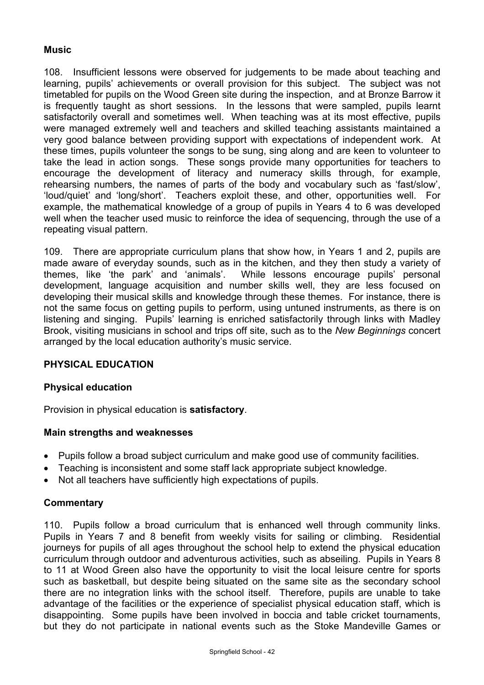## **Music**

108. Insufficient lessons were observed for judgements to be made about teaching and learning, pupils' achievements or overall provision for this subject. The subject was not timetabled for pupils on the Wood Green site during the inspection, and at Bronze Barrow it is frequently taught as short sessions. In the lessons that were sampled, pupils learnt satisfactorily overall and sometimes well. When teaching was at its most effective, pupils were managed extremely well and teachers and skilled teaching assistants maintained a very good balance between providing support with expectations of independent work. At these times, pupils volunteer the songs to be sung, sing along and are keen to volunteer to take the lead in action songs. These songs provide many opportunities for teachers to encourage the development of literacy and numeracy skills through, for example, rehearsing numbers, the names of parts of the body and vocabulary such as 'fast/slow', 'loud/quiet' and 'long/short'. Teachers exploit these, and other, opportunities well. For example, the mathematical knowledge of a group of pupils in Years 4 to 6 was developed well when the teacher used music to reinforce the idea of sequencing, through the use of a repeating visual pattern.

109. There are appropriate curriculum plans that show how, in Years 1 and 2, pupils are made aware of everyday sounds, such as in the kitchen, and they then study a variety of themes, like 'the park' and 'animals'. While lessons encourage pupils' personal development, language acquisition and number skills well, they are less focused on developing their musical skills and knowledge through these themes. For instance, there is not the same focus on getting pupils to perform, using untuned instruments, as there is on listening and singing. Pupils' learning is enriched satisfactorily through links with Madley Brook, visiting musicians in school and trips off site, such as to the *New Beginnings* concert arranged by the local education authority's music service.

#### **PHYSICAL EDUCATION**

#### **Physical education**

Provision in physical education is **satisfactory**.

#### **Main strengths and weaknesses**

- Pupils follow a broad subject curriculum and make good use of community facilities.
- Teaching is inconsistent and some staff lack appropriate subject knowledge.
- Not all teachers have sufficiently high expectations of pupils.

#### **Commentary**

110. Pupils follow a broad curriculum that is enhanced well through community links. Pupils in Years 7 and 8 benefit from weekly visits for sailing or climbing. Residential journeys for pupils of all ages throughout the school help to extend the physical education curriculum through outdoor and adventurous activities, such as abseiling. Pupils in Years 8 to 11 at Wood Green also have the opportunity to visit the local leisure centre for sports such as basketball, but despite being situated on the same site as the secondary school there are no integration links with the school itself. Therefore, pupils are unable to take advantage of the facilities or the experience of specialist physical education staff, which is disappointing. Some pupils have been involved in boccia and table cricket tournaments, but they do not participate in national events such as the Stoke Mandeville Games or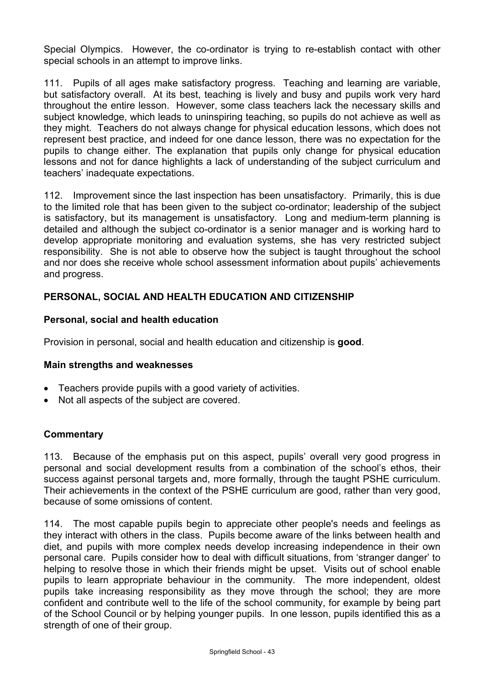Special Olympics. However, the co-ordinator is trying to re-establish contact with other special schools in an attempt to improve links.

111. Pupils of all ages make satisfactory progress. Teaching and learning are variable, but satisfactory overall. At its best, teaching is lively and busy and pupils work very hard throughout the entire lesson. However, some class teachers lack the necessary skills and subject knowledge, which leads to uninspiring teaching, so pupils do not achieve as well as they might. Teachers do not always change for physical education lessons, which does not represent best practice, and indeed for one dance lesson, there was no expectation for the pupils to change either. The explanation that pupils only change for physical education lessons and not for dance highlights a lack of understanding of the subject curriculum and teachers' inadequate expectations.

112. Improvement since the last inspection has been unsatisfactory. Primarily, this is due to the limited role that has been given to the subject co-ordinator; leadership of the subject is satisfactory, but its management is unsatisfactory. Long and medium-term planning is detailed and although the subject co-ordinator is a senior manager and is working hard to develop appropriate monitoring and evaluation systems, she has very restricted subject responsibility. She is not able to observe how the subject is taught throughout the school and nor does she receive whole school assessment information about pupils' achievements and progress.

## **PERSONAL, SOCIAL AND HEALTH EDUCATION AND CITIZENSHIP**

#### **Personal, social and health education**

Provision in personal, social and health education and citizenship is **good**.

#### **Main strengths and weaknesses**

- Teachers provide pupils with a good variety of activities.
- Not all aspects of the subject are covered.

#### **Commentary**

113. Because of the emphasis put on this aspect, pupils' overall very good progress in personal and social development results from a combination of the school's ethos, their success against personal targets and, more formally, through the taught PSHE curriculum. Their achievements in the context of the PSHE curriculum are good, rather than very good, because of some omissions of content.

114. The most capable pupils begin to appreciate other people's needs and feelings as they interact with others in the class. Pupils become aware of the links between health and diet, and pupils with more complex needs develop increasing independence in their own personal care. Pupils consider how to deal with difficult situations, from 'stranger danger' to helping to resolve those in which their friends might be upset. Visits out of school enable pupils to learn appropriate behaviour in the community. The more independent, oldest pupils take increasing responsibility as they move through the school; they are more confident and contribute well to the life of the school community, for example by being part of the School Council or by helping younger pupils. In one lesson, pupils identified this as a strength of one of their group.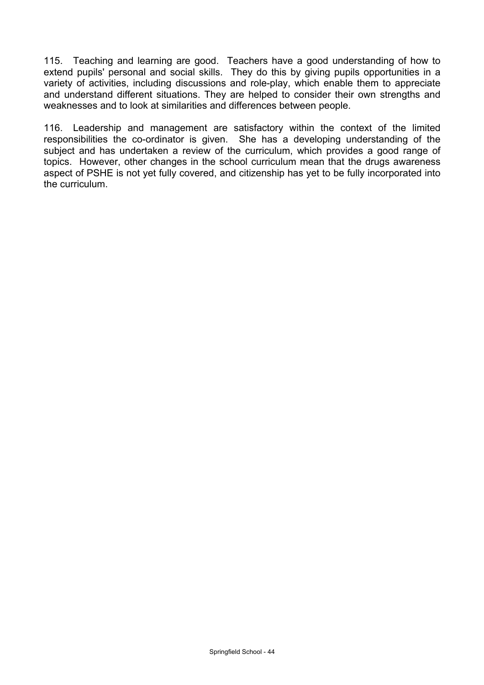115. Teaching and learning are good. Teachers have a good understanding of how to extend pupils' personal and social skills. They do this by giving pupils opportunities in a variety of activities, including discussions and role-play, which enable them to appreciate and understand different situations. They are helped to consider their own strengths and weaknesses and to look at similarities and differences between people.

116. Leadership and management are satisfactory within the context of the limited responsibilities the co-ordinator is given. She has a developing understanding of the subject and has undertaken a review of the curriculum, which provides a good range of topics. However, other changes in the school curriculum mean that the drugs awareness aspect of PSHE is not yet fully covered, and citizenship has yet to be fully incorporated into the curriculum.